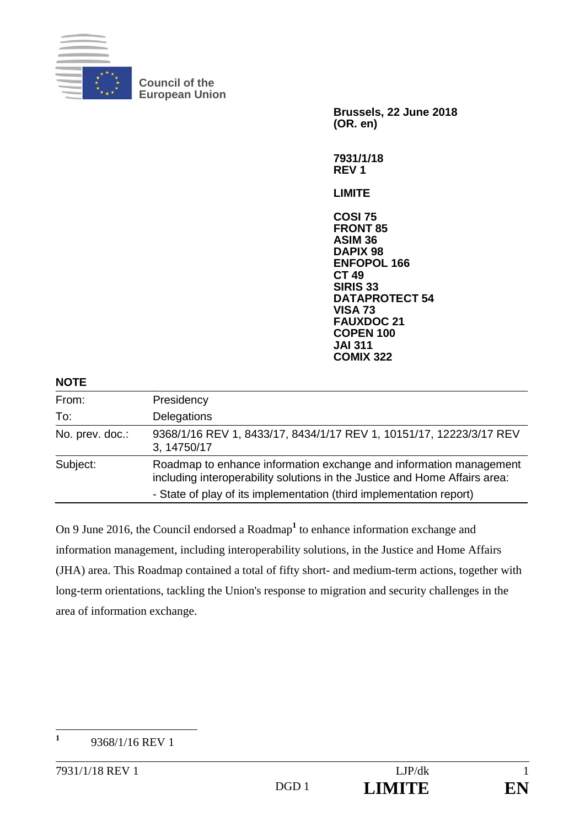

**Council of the European Union** 

> **Brussels, 22 June 2018 (OR. en) 7931/1/18**

**REV 1** 

**LIMITE** 

**COSI 75 FRONT 85 ASIM 36 DAPIX 98 ENFOPOL 166 CT 49 SIRIS 33 DATAPROTECT 54 VISA 73 FAUXDOC 21 COPEN 100 JAI 311 COMIX 322**

| <b>NOTE</b>     |                                                                                                                                                  |
|-----------------|--------------------------------------------------------------------------------------------------------------------------------------------------|
| From:           | Presidency                                                                                                                                       |
| To:             | Delegations                                                                                                                                      |
| No. prev. doc.: | 9368/1/16 REV 1, 8433/17, 8434/1/17 REV 1, 10151/17, 12223/3/17 REV<br>3, 14750/17                                                               |
| Subject:        | Roadmap to enhance information exchange and information management<br>including interoperability solutions in the Justice and Home Affairs area: |
|                 | - State of play of its implementation (third implementation report)                                                                              |

On 9 June 2016, the Council endorsed a Roadmap<sup>1</sup> to enhance information exchange and information management, including interoperability solutions, in the Justice and Home Affairs (JHA) area. This Roadmap contained a total of fifty short- and medium-term actions, together with long-term orientations, tackling the Union's response to migration and security challenges in the area of information exchange.

 **1** 9368/1/16 REV 1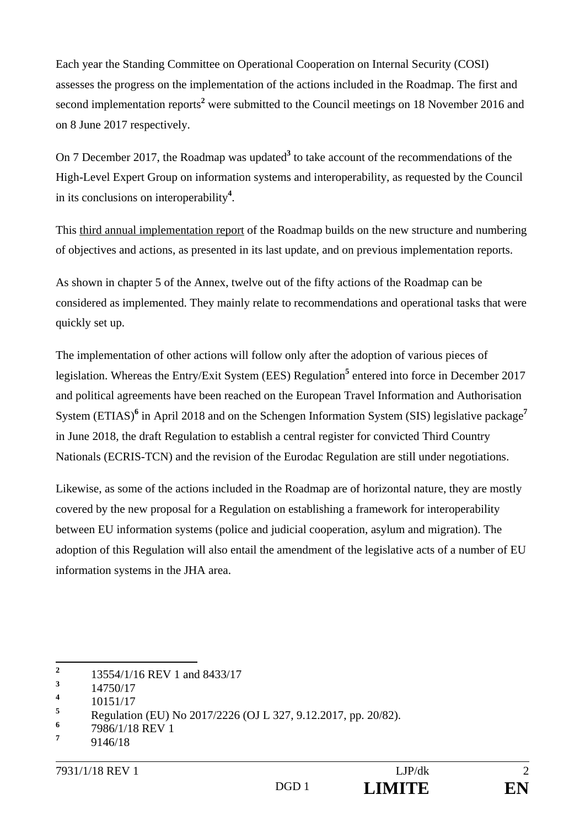Each year the Standing Committee on Operational Cooperation on Internal Security (COSI) assesses the progress on the implementation of the actions included in the Roadmap. The first and second implementation reports<sup>2</sup> were submitted to the Council meetings on 18 November 2016 and on 8 June 2017 respectively.

On 7 December 2017, the Roadmap was updated<sup>3</sup> to take account of the recommendations of the High-Level Expert Group on information systems and interoperability, as requested by the Council in its conclusions on interoperability**<sup>4</sup>** .

This third annual implementation report of the Roadmap builds on the new structure and numbering of objectives and actions, as presented in its last update, and on previous implementation reports.

As shown in chapter 5 of the Annex, twelve out of the fifty actions of the Roadmap can be considered as implemented. They mainly relate to recommendations and operational tasks that were quickly set up.

The implementation of other actions will follow only after the adoption of various pieces of legislation. Whereas the Entry/Exit System (EES) Regulation<sup>5</sup> entered into force in December 2017 and political agreements have been reached on the European Travel Information and Authorisation System (ETIAS)<sup>6</sup> in April 2018 and on the Schengen Information System (SIS) legislative package<sup>7</sup> in June 2018, the draft Regulation to establish a central register for convicted Third Country Nationals (ECRIS-TCN) and the revision of the Eurodac Regulation are still under negotiations.

Likewise, as some of the actions included in the Roadmap are of horizontal nature, they are mostly covered by the new proposal for a Regulation on establishing a framework for interoperability between EU information systems (police and judicial cooperation, asylum and migration). The adoption of this Regulation will also entail the amendment of the legislative acts of a number of EU information systems in the JHA area.

 **2** 13554/1/16 REV 1 and 8433/17

**<sup>3</sup>** 14750/17

**<sup>4</sup>** 10151/17

**<sup>5</sup>** Regulation (EU) No 2017/2226 (OJ L 327, 9.12.2017, pp. 20/82).

**<sup>6</sup>** 7986/1/18 REV 1

**<sup>7</sup>** 9146/18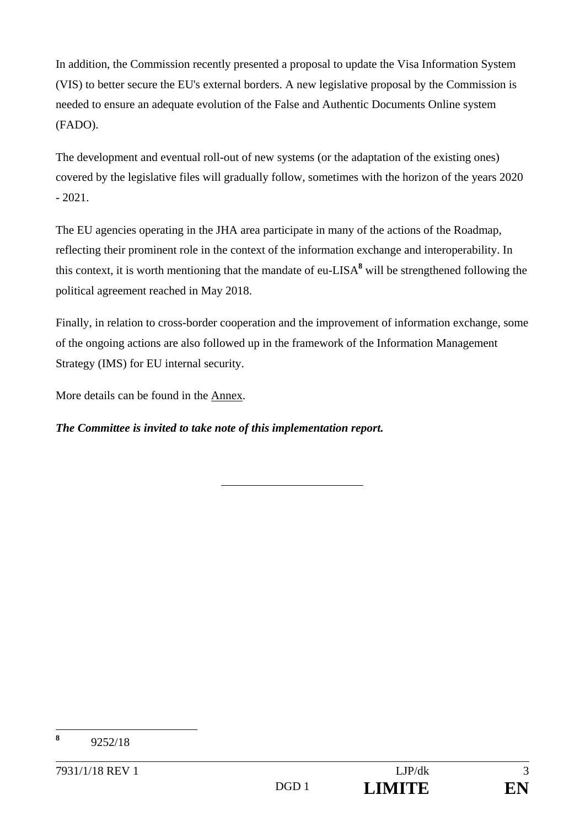In addition, the Commission recently presented a proposal to update the Visa Information System (VIS) to better secure the EU's external borders. A new legislative proposal by the Commission is needed to ensure an adequate evolution of the False and Authentic Documents Online system (FADO).

The development and eventual roll-out of new systems (or the adaptation of the existing ones) covered by the legislative files will gradually follow, sometimes with the horizon of the years 2020  $-2021.$ 

The EU agencies operating in the JHA area participate in many of the actions of the Roadmap, reflecting their prominent role in the context of the information exchange and interoperability. In this context, it is worth mentioning that the mandate of eu-LISA**<sup>8</sup>** will be strengthened following the political agreement reached in May 2018.

Finally, in relation to cross-border cooperation and the improvement of information exchange, some of the ongoing actions are also followed up in the framework of the Information Management Strategy (IMS) for EU internal security.

More details can be found in the Annex.

*The Committee is invited to take note of this implementation report.* 

 **8** 9252/18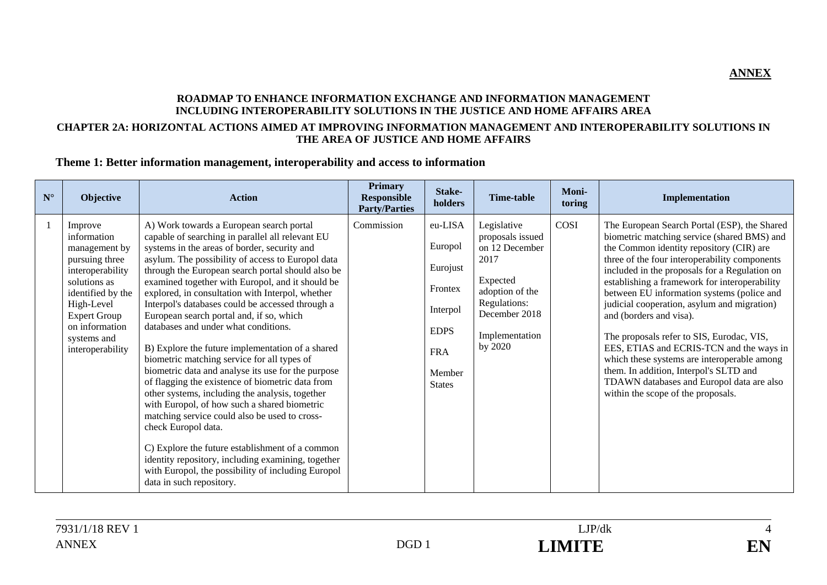#### **ROADMAP TO ENHANCE INFORMATION EXCHANGE AND INFORMATION MANAGEMENT INCLUDING INTEROPERABILITY SOLUTIONS IN THE JUSTICE AND HOME AFFAIRS AREA CHAPTER 2A: HORIZONTAL ACTIONS AIMED AT IMPROVING INFORMATION MANAGEMENT AND INTEROPERABILITY SOLUTIONS IN THE AREA OF JUSTICE AND HOME AFFAIRS**

#### **Theme 1: Better information management, interoperability and access to information**

| $N^{\circ}$ | <b>Objective</b>                                                                                                                                                                                             | <b>Action</b>                                                                                                                                                                                                                                                                                                                                                                                                                                                                                                                                                                                                                                                                                                                                                                                                                                                                                                                                                                                                                                                                             | <b>Primary</b><br><b>Responsible</b><br><b>Party/Parties</b> | Stake-<br>holders                                                                                             | Time-table                                                                                                                                             | Moni-<br>toring | Implementation                                                                                                                                                                                                                                                                                                                                                                                                                                                                                                                                                                                                                                                                          |
|-------------|--------------------------------------------------------------------------------------------------------------------------------------------------------------------------------------------------------------|-------------------------------------------------------------------------------------------------------------------------------------------------------------------------------------------------------------------------------------------------------------------------------------------------------------------------------------------------------------------------------------------------------------------------------------------------------------------------------------------------------------------------------------------------------------------------------------------------------------------------------------------------------------------------------------------------------------------------------------------------------------------------------------------------------------------------------------------------------------------------------------------------------------------------------------------------------------------------------------------------------------------------------------------------------------------------------------------|--------------------------------------------------------------|---------------------------------------------------------------------------------------------------------------|--------------------------------------------------------------------------------------------------------------------------------------------------------|-----------------|-----------------------------------------------------------------------------------------------------------------------------------------------------------------------------------------------------------------------------------------------------------------------------------------------------------------------------------------------------------------------------------------------------------------------------------------------------------------------------------------------------------------------------------------------------------------------------------------------------------------------------------------------------------------------------------------|
|             | Improve<br>information<br>management by<br>pursuing three<br>interoperability<br>solutions as<br>identified by the<br>High-Level<br><b>Expert Group</b><br>on information<br>systems and<br>interoperability | A) Work towards a European search portal<br>capable of searching in parallel all relevant EU<br>systems in the areas of border, security and<br>asylum. The possibility of access to Europol data<br>through the European search portal should also be<br>examined together with Europol, and it should be<br>explored, in consultation with Interpol, whether<br>Interpol's databases could be accessed through a<br>European search portal and, if so, which<br>databases and under what conditions.<br>B) Explore the future implementation of a shared<br>biometric matching service for all types of<br>biometric data and analyse its use for the purpose<br>of flagging the existence of biometric data from<br>other systems, including the analysis, together<br>with Europol, of how such a shared biometric<br>matching service could also be used to cross-<br>check Europol data.<br>C) Explore the future establishment of a common<br>identity repository, including examining, together<br>with Europol, the possibility of including Europol<br>data in such repository. | Commission                                                   | eu-LISA<br>Europol<br>Eurojust<br>Frontex<br>Interpol<br><b>EDPS</b><br><b>FRA</b><br>Member<br><b>States</b> | Legislative<br>proposals issued<br>on 12 December<br>2017<br>Expected<br>adoption of the<br>Regulations:<br>December 2018<br>Implementation<br>by 2020 | COSI            | The European Search Portal (ESP), the Shared<br>biometric matching service (shared BMS) and<br>the Common identity repository (CIR) are<br>three of the four interoperability components<br>included in the proposals for a Regulation on<br>establishing a framework for interoperability<br>between EU information systems (police and<br>judicial cooperation, asylum and migration)<br>and (borders and visa).<br>The proposals refer to SIS, Eurodac, VIS,<br>EES, ETIAS and ECRIS-TCN and the ways in<br>which these systems are interoperable among<br>them. In addition, Interpol's SLTD and<br>TDAWN databases and Europol data are also<br>within the scope of the proposals. |



**ANNEX**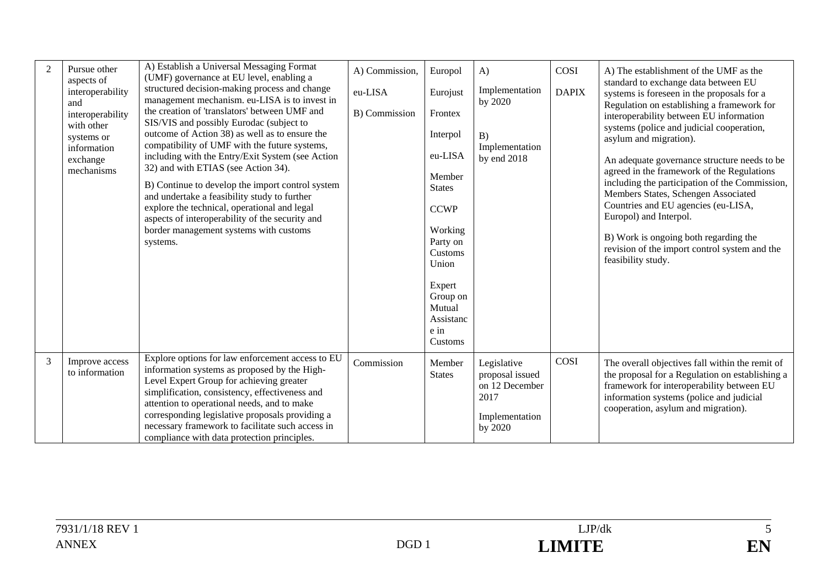| 2 | Pursue other<br>aspects of<br>interoperability<br>and<br>interoperability<br>with other<br>systems or<br>information<br>exchange<br>mechanisms | A) Establish a Universal Messaging Format<br>(UMF) governance at EU level, enabling a<br>structured decision-making process and change<br>management mechanism. eu-LISA is to invest in<br>the creation of 'translators' between UMF and<br>SIS/VIS and possibly Eurodac (subject to<br>outcome of Action 38) as well as to ensure the<br>compatibility of UMF with the future systems,<br>including with the Entry/Exit System (see Action<br>32) and with ETIAS (see Action 34).<br>B) Continue to develop the import control system<br>and undertake a feasibility study to further<br>explore the technical, operational and legal<br>aspects of interoperability of the security and<br>border management systems with customs<br>systems. | A) Commission,<br>eu-LISA<br>B) Commission | Europol<br>Eurojust<br>Frontex<br>Interpol<br>eu-LISA<br>Member<br><b>States</b><br><b>CCWP</b><br>Working<br>Party on<br>Customs<br>Union<br>Expert<br>Group on<br>Mutual<br>Assistanc<br>e in<br>Customs | A)<br>Implementation<br>by 2020<br>B)<br>Implementation<br>by end 2018                | COSI<br><b>DAPIX</b> | A) The establishment of the UMF as the<br>standard to exchange data between EU<br>systems is foreseen in the proposals for a<br>Regulation on establishing a framework for<br>interoperability between EU information<br>systems (police and judicial cooperation,<br>asylum and migration).<br>An adequate governance structure needs to be<br>agreed in the framework of the Regulations<br>including the participation of the Commission,<br>Members States, Schengen Associated<br>Countries and EU agencies (eu-LISA,<br>Europol) and Interpol.<br>B) Work is ongoing both regarding the<br>revision of the import control system and the<br>feasibility study. |
|---|------------------------------------------------------------------------------------------------------------------------------------------------|-------------------------------------------------------------------------------------------------------------------------------------------------------------------------------------------------------------------------------------------------------------------------------------------------------------------------------------------------------------------------------------------------------------------------------------------------------------------------------------------------------------------------------------------------------------------------------------------------------------------------------------------------------------------------------------------------------------------------------------------------|--------------------------------------------|------------------------------------------------------------------------------------------------------------------------------------------------------------------------------------------------------------|---------------------------------------------------------------------------------------|----------------------|----------------------------------------------------------------------------------------------------------------------------------------------------------------------------------------------------------------------------------------------------------------------------------------------------------------------------------------------------------------------------------------------------------------------------------------------------------------------------------------------------------------------------------------------------------------------------------------------------------------------------------------------------------------------|
| 3 | Improve access<br>to information                                                                                                               | Explore options for law enforcement access to EU<br>information systems as proposed by the High-<br>Level Expert Group for achieving greater<br>simplification, consistency, effectiveness and<br>attention to operational needs, and to make<br>corresponding legislative proposals providing a<br>necessary framework to facilitate such access in<br>compliance with data protection principles.                                                                                                                                                                                                                                                                                                                                             | Commission                                 | Member<br><b>States</b>                                                                                                                                                                                    | Legislative<br>proposal issued<br>on 12 December<br>2017<br>Implementation<br>by 2020 | COSI                 | The overall objectives fall within the remit of<br>the proposal for a Regulation on establishing a<br>framework for interoperability between EU<br>information systems (police and judicial<br>cooperation, asylum and migration).                                                                                                                                                                                                                                                                                                                                                                                                                                   |

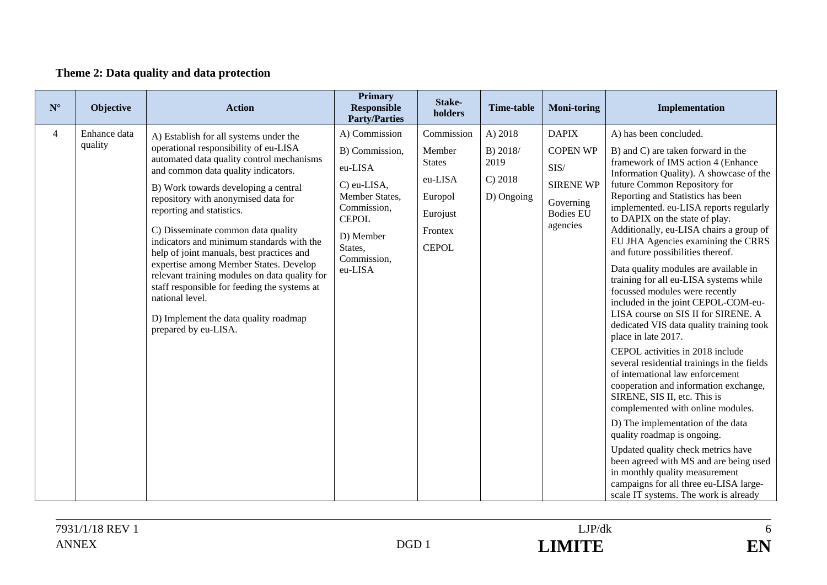# **Theme 2: Data quality and data protection**

| $\mathbf{N}^\circ$ | Objective               | <b>Action</b>                                                                                                                                                                                                                                                                                                                                                                                                                                                                                              | <b>Primary</b><br><b>Responsible</b><br><b>Party/Parties</b>                                                                                                 | Stake-<br>holders                                                                                  | <b>Time-table</b>                                    | <b>Moni-toring</b>                                                                                       | Implementation                                                                                                                                                                                                                                                                                                                                                                                                                                                                                          |
|--------------------|-------------------------|------------------------------------------------------------------------------------------------------------------------------------------------------------------------------------------------------------------------------------------------------------------------------------------------------------------------------------------------------------------------------------------------------------------------------------------------------------------------------------------------------------|--------------------------------------------------------------------------------------------------------------------------------------------------------------|----------------------------------------------------------------------------------------------------|------------------------------------------------------|----------------------------------------------------------------------------------------------------------|---------------------------------------------------------------------------------------------------------------------------------------------------------------------------------------------------------------------------------------------------------------------------------------------------------------------------------------------------------------------------------------------------------------------------------------------------------------------------------------------------------|
| $\overline{4}$     | Enhance data<br>quality | A) Establish for all systems under the<br>operational responsibility of eu-LISA<br>automated data quality control mechanisms<br>and common data quality indicators.<br>B) Work towards developing a central<br>repository with anonymised data for<br>reporting and statistics.<br>C) Disseminate common data quality<br>indicators and minimum standards with the<br>help of joint manuals, best practices and<br>expertise among Member States. Develop<br>relevant training modules on data quality for | A) Commission<br>B) Commission,<br>eu-LISA<br>C) eu-LISA,<br>Member States,<br>Commission,<br><b>CEPOL</b><br>D) Member<br>States,<br>Commission,<br>eu-LISA | Commission<br>Member<br><b>States</b><br>eu-LISA<br>Europol<br>Eurojust<br>Frontex<br><b>CEPOL</b> | A) 2018<br>B) 2018/<br>2019<br>C) 2018<br>D) Ongoing | <b>DAPIX</b><br><b>COPEN WP</b><br>SIS/<br><b>SIRENE WP</b><br>Governing<br><b>Bodies EU</b><br>agencies | A) has been concluded.<br>B) and C) are taken forward in the<br>framework of IMS action 4 (Enhance<br>Information Quality). A showcase of the<br>future Common Repository for<br>Reporting and Statistics has been<br>implemented. eu-LISA reports regularly<br>to DAPIX on the state of play.<br>Additionally, eu-LISA chairs a group of<br>EU JHA Agencies examining the CRRS<br>and future possibilities thereof.<br>Data quality modules are available in<br>training for all eu-LISA systems while |
|                    |                         | staff responsible for feeding the systems at<br>national level.<br>D) Implement the data quality roadmap<br>prepared by eu-LISA.                                                                                                                                                                                                                                                                                                                                                                           |                                                                                                                                                              |                                                                                                    |                                                      |                                                                                                          | focussed modules were recently<br>included in the joint CEPOL-COM-eu-<br>LISA course on SIS II for SIRENE. A<br>dedicated VIS data quality training took<br>place in late 2017.                                                                                                                                                                                                                                                                                                                         |
|                    |                         |                                                                                                                                                                                                                                                                                                                                                                                                                                                                                                            |                                                                                                                                                              |                                                                                                    |                                                      |                                                                                                          | CEPOL activities in 2018 include<br>several residential trainings in the fields<br>of international law enforcement<br>cooperation and information exchange,<br>SIRENE, SIS II, etc. This is<br>complemented with online modules.                                                                                                                                                                                                                                                                       |
|                    |                         |                                                                                                                                                                                                                                                                                                                                                                                                                                                                                                            |                                                                                                                                                              |                                                                                                    |                                                      |                                                                                                          | D) The implementation of the data<br>quality roadmap is ongoing.                                                                                                                                                                                                                                                                                                                                                                                                                                        |
|                    |                         |                                                                                                                                                                                                                                                                                                                                                                                                                                                                                                            |                                                                                                                                                              |                                                                                                    |                                                      |                                                                                                          | Updated quality check metrics have<br>been agreed with MS and are being used<br>in monthly quality measurement<br>campaigns for all three eu-LISA large-<br>scale IT systems. The work is already                                                                                                                                                                                                                                                                                                       |

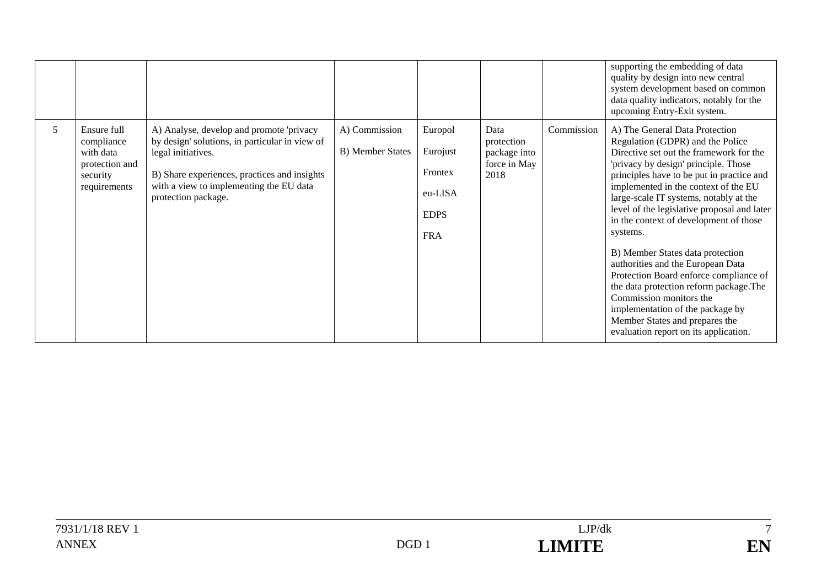|   |                                                                                      |                                                                                                                                                                                                                                    |                                           |                                                                        |                                                            |            | supporting the embedding of data<br>quality by design into new central<br>system development based on common<br>data quality indicators, notably for the<br>upcoming Entry-Exit system.                                                                                                                                                                                                                                                                                                                                                                                                                                                                                                           |
|---|--------------------------------------------------------------------------------------|------------------------------------------------------------------------------------------------------------------------------------------------------------------------------------------------------------------------------------|-------------------------------------------|------------------------------------------------------------------------|------------------------------------------------------------|------------|---------------------------------------------------------------------------------------------------------------------------------------------------------------------------------------------------------------------------------------------------------------------------------------------------------------------------------------------------------------------------------------------------------------------------------------------------------------------------------------------------------------------------------------------------------------------------------------------------------------------------------------------------------------------------------------------------|
| 5 | Ensure full<br>compliance<br>with data<br>protection and<br>security<br>requirements | A) Analyse, develop and promote 'privacy<br>by design' solutions, in particular in view of<br>legal initiatives.<br>B) Share experiences, practices and insights<br>with a view to implementing the EU data<br>protection package. | A) Commission<br><b>B</b> ) Member States | Europol<br>Eurojust<br>Frontex<br>eu-LISA<br><b>EDPS</b><br><b>FRA</b> | Data<br>protection<br>package into<br>force in May<br>2018 | Commission | A) The General Data Protection<br>Regulation (GDPR) and the Police<br>Directive set out the framework for the<br>'privacy by design' principle. Those<br>principles have to be put in practice and<br>implemented in the context of the EU<br>large-scale IT systems, notably at the<br>level of the legislative proposal and later<br>in the context of development of those<br>systems.<br>B) Member States data protection<br>authorities and the European Data<br>Protection Board enforce compliance of<br>the data protection reform package. The<br>Commission monitors the<br>implementation of the package by<br>Member States and prepares the<br>evaluation report on its application. |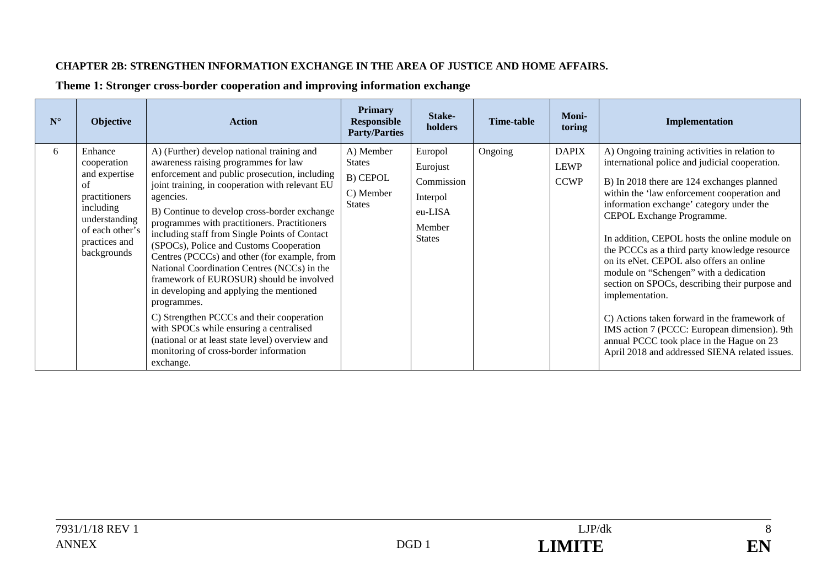#### **CHAPTER 2B: STRENGTHEN INFORMATION EXCHANGE IN THE AREA OF JUSTICE AND HOME AFFAIRS.**

| $N^{\circ}$ | Objective                                                                                                                                       | <b>Action</b>                                                                                                                                                                                                                                                                                                                                                                                                                                                                                                                                                                                                                                                                                                                                                                                           | <b>Primary</b><br><b>Responsible</b><br><b>Party/Parties</b>         | Stake-<br>holders                                                                   | <b>Time-table</b> | <b>Moni-</b><br>toring                     | Implementation                                                                                                                                                                                                                                                                                                                                                                                                                                                                                                                                                                                                                                                                                                                    |
|-------------|-------------------------------------------------------------------------------------------------------------------------------------------------|---------------------------------------------------------------------------------------------------------------------------------------------------------------------------------------------------------------------------------------------------------------------------------------------------------------------------------------------------------------------------------------------------------------------------------------------------------------------------------------------------------------------------------------------------------------------------------------------------------------------------------------------------------------------------------------------------------------------------------------------------------------------------------------------------------|----------------------------------------------------------------------|-------------------------------------------------------------------------------------|-------------------|--------------------------------------------|-----------------------------------------------------------------------------------------------------------------------------------------------------------------------------------------------------------------------------------------------------------------------------------------------------------------------------------------------------------------------------------------------------------------------------------------------------------------------------------------------------------------------------------------------------------------------------------------------------------------------------------------------------------------------------------------------------------------------------------|
| 6           | Enhance<br>cooperation<br>and expertise<br>of<br>practitioners<br>including<br>understanding<br>of each other's<br>practices and<br>backgrounds | A) (Further) develop national training and<br>awareness raising programmes for law<br>enforcement and public prosecution, including<br>joint training, in cooperation with relevant EU<br>agencies.<br>B) Continue to develop cross-border exchange<br>programmes with practitioners. Practitioners<br>including staff from Single Points of Contact<br>(SPOCs), Police and Customs Cooperation<br>Centres (PCCCs) and other (for example, from<br>National Coordination Centres (NCCs) in the<br>framework of EUROSUR) should be involved<br>in developing and applying the mentioned<br>programmes.<br>C) Strengthen PCCCs and their cooperation<br>with SPOCs while ensuring a centralised<br>(national or at least state level) overview and<br>monitoring of cross-border information<br>exchange. | A) Member<br><b>States</b><br>B) CEPOL<br>C) Member<br><b>States</b> | Europol<br>Eurojust<br>Commission<br>Interpol<br>eu-LISA<br>Member<br><b>States</b> | Ongoing           | <b>DAPIX</b><br><b>LEWP</b><br><b>CCWP</b> | A) Ongoing training activities in relation to<br>international police and judicial cooperation.<br>B) In 2018 there are 124 exchanges planned<br>within the 'law enforcement cooperation and<br>information exchange' category under the<br>CEPOL Exchange Programme.<br>In addition, CEPOL hosts the online module on<br>the PCCCs as a third party knowledge resource<br>on its eNet. CEPOL also offers an online<br>module on "Schengen" with a dedication<br>section on SPOCs, describing their purpose and<br>implementation.<br>C) Actions taken forward in the framework of<br>IMS action 7 (PCCC: European dimension). 9th<br>annual PCCC took place in the Hague on 23<br>April 2018 and addressed SIENA related issues. |

### **Theme 1: Stronger cross-border cooperation and improving information exchange**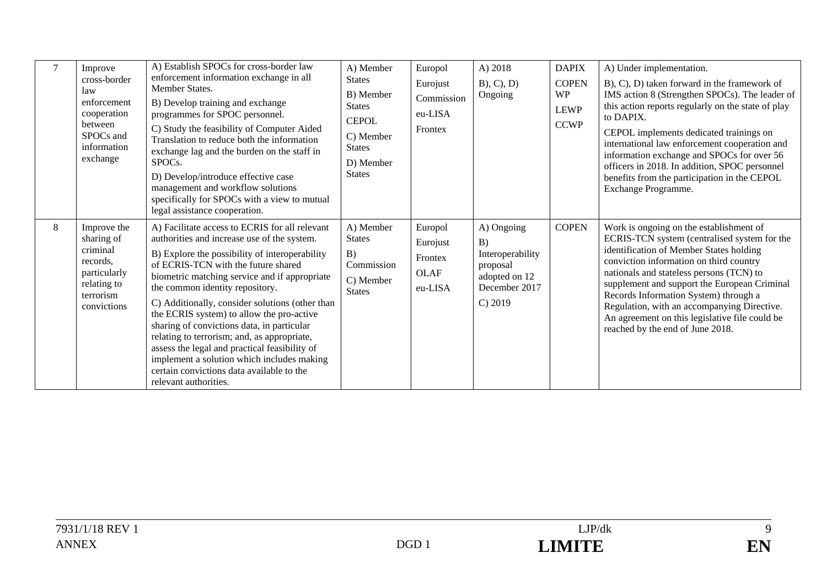|   | Improve<br>cross-border<br>law<br>enforcement<br>cooperation<br>between<br>SPOCs and<br>information<br>exchange | A) Establish SPOCs for cross-border law<br>enforcement information exchange in all<br>Member States.<br>B) Develop training and exchange<br>programmes for SPOC personnel.<br>C) Study the feasibility of Computer Aided<br>Translation to reduce both the information<br>exchange lag and the burden on the staff in<br>SPOC <sub>s</sub> .<br>D) Develop/introduce effective case<br>management and workflow solutions<br>specifically for SPOCs with a view to mutual<br>legal assistance cooperation.                                                                                                                                    | A) Member<br><b>States</b><br>B) Member<br><b>States</b><br><b>CEPOL</b><br>C) Member<br><b>States</b><br>D) Member<br><b>States</b> | Europol<br>Eurojust<br>Commission<br>eu-LISA<br>Frontex | A) 2018<br>$B$ , $C$ , $D$ )<br>Ongoing                                                       | <b>DAPIX</b><br><b>COPEN</b><br><b>WP</b><br><b>LEWP</b><br><b>CCWP</b> | A) Under implementation.<br>B), C), D) taken forward in the framework of<br>IMS action 8 (Strengthen SPOCs). The leader of<br>this action reports regularly on the state of play<br>to DAPIX.<br>CEPOL implements dedicated trainings on<br>international law enforcement cooperation and<br>information exchange and SPOCs for over 56<br>officers in 2018. In addition, SPOC personnel<br>benefits from the participation in the CEPOL<br>Exchange Programme. |
|---|-----------------------------------------------------------------------------------------------------------------|----------------------------------------------------------------------------------------------------------------------------------------------------------------------------------------------------------------------------------------------------------------------------------------------------------------------------------------------------------------------------------------------------------------------------------------------------------------------------------------------------------------------------------------------------------------------------------------------------------------------------------------------|--------------------------------------------------------------------------------------------------------------------------------------|---------------------------------------------------------|-----------------------------------------------------------------------------------------------|-------------------------------------------------------------------------|-----------------------------------------------------------------------------------------------------------------------------------------------------------------------------------------------------------------------------------------------------------------------------------------------------------------------------------------------------------------------------------------------------------------------------------------------------------------|
| 8 | Improve the<br>sharing of<br>criminal<br>records.<br>particularly<br>relating to<br>terrorism<br>convictions    | A) Facilitate access to ECRIS for all relevant<br>authorities and increase use of the system.<br>B) Explore the possibility of interoperability<br>of ECRIS-TCN with the future shared<br>biometric matching service and if appropriate<br>the common identity repository.<br>C) Additionally, consider solutions (other than<br>the ECRIS system) to allow the pro-active<br>sharing of convictions data, in particular<br>relating to terrorism; and, as appropriate,<br>assess the legal and practical feasibility of<br>implement a solution which includes making<br>certain convictions data available to the<br>relevant authorities. | A) Member<br><b>States</b><br>B)<br>Commission<br>C) Member<br><b>States</b>                                                         | Europol<br>Eurojust<br>Frontex<br>OLAF<br>eu-LISA       | A) Ongoing<br>B)<br>Interoperability<br>proposal<br>adopted on 12<br>December 2017<br>C) 2019 | <b>COPEN</b>                                                            | Work is ongoing on the establishment of<br>ECRIS-TCN system (centralised system for the<br>identification of Member States holding<br>conviction information on third country<br>nationals and stateless persons (TCN) to<br>supplement and support the European Criminal<br>Records Information System) through a<br>Regulation, with an accompanying Directive.<br>An agreement on this legislative file could be<br>reached by the end of June 2018.         |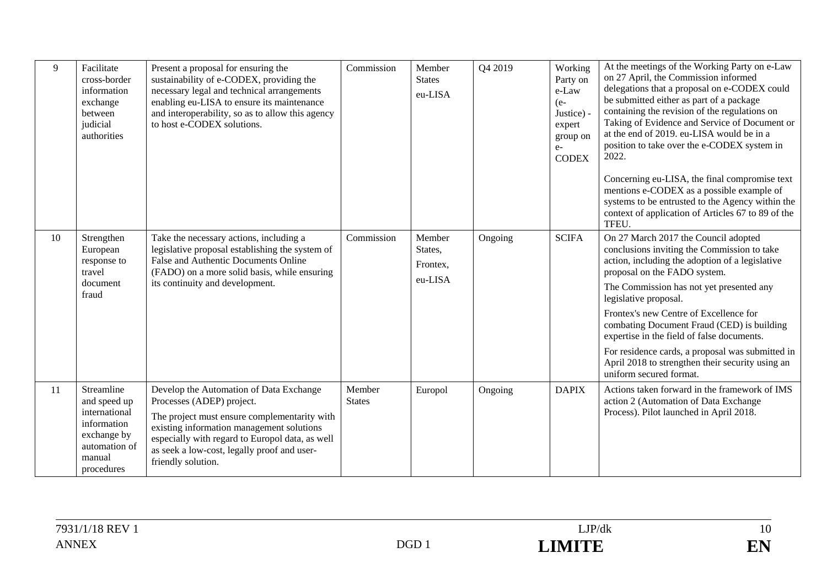| 9  | Facilitate<br>cross-border<br>information<br>exchange<br>between<br>judicial<br>authorities                        | Present a proposal for ensuring the<br>sustainability of e-CODEX, providing the<br>necessary legal and technical arrangements<br>enabling eu-LISA to ensure its maintenance<br>and interoperability, so as to allow this agency<br>to host e-CODEX solutions.                             | Commission              | Member<br><b>States</b><br>eu-LISA       | Q4 2019 | Working<br>Party on<br>e-Law<br>$(e-$<br>Justice)<br>expert<br>group on<br>$e-$<br><b>CODEX</b> | At the meetings of the Working Party on e-Law<br>on 27 April, the Commission informed<br>delegations that a proposal on e-CODEX could<br>be submitted either as part of a package<br>containing the revision of the regulations on<br>Taking of Evidence and Service of Document or<br>at the end of 2019. eu-LISA would be in a<br>position to take over the e-CODEX system in<br>2022.<br>Concerning eu-LISA, the final compromise text<br>mentions e-CODEX as a possible example of<br>systems to be entrusted to the Agency within the<br>context of application of Articles 67 to 89 of the<br>TFEU. |
|----|--------------------------------------------------------------------------------------------------------------------|-------------------------------------------------------------------------------------------------------------------------------------------------------------------------------------------------------------------------------------------------------------------------------------------|-------------------------|------------------------------------------|---------|-------------------------------------------------------------------------------------------------|-----------------------------------------------------------------------------------------------------------------------------------------------------------------------------------------------------------------------------------------------------------------------------------------------------------------------------------------------------------------------------------------------------------------------------------------------------------------------------------------------------------------------------------------------------------------------------------------------------------|
| 10 | Strengthen<br>European<br>response to<br>travel<br>document<br>fraud                                               | Take the necessary actions, including a<br>legislative proposal establishing the system of<br>False and Authentic Documents Online<br>(FADO) on a more solid basis, while ensuring<br>its continuity and development.                                                                     | Commission              | Member<br>States,<br>Frontex,<br>eu-LISA | Ongoing | <b>SCIFA</b>                                                                                    | On 27 March 2017 the Council adopted<br>conclusions inviting the Commission to take<br>action, including the adoption of a legislative<br>proposal on the FADO system.<br>The Commission has not yet presented any<br>legislative proposal.<br>Frontex's new Centre of Excellence for<br>combating Document Fraud (CED) is building<br>expertise in the field of false documents.<br>For residence cards, a proposal was submitted in<br>April 2018 to strengthen their security using an<br>uniform secured format.                                                                                      |
| 11 | Streamline<br>and speed up<br>international<br>information<br>exchange by<br>automation of<br>manual<br>procedures | Develop the Automation of Data Exchange<br>Processes (ADEP) project.<br>The project must ensure complementarity with<br>existing information management solutions<br>especially with regard to Europol data, as well<br>as seek a low-cost, legally proof and user-<br>friendly solution. | Member<br><b>States</b> | Europol                                  | Ongoing | <b>DAPIX</b>                                                                                    | Actions taken forward in the framework of IMS<br>action 2 (Automation of Data Exchange<br>Process). Pilot launched in April 2018.                                                                                                                                                                                                                                                                                                                                                                                                                                                                         |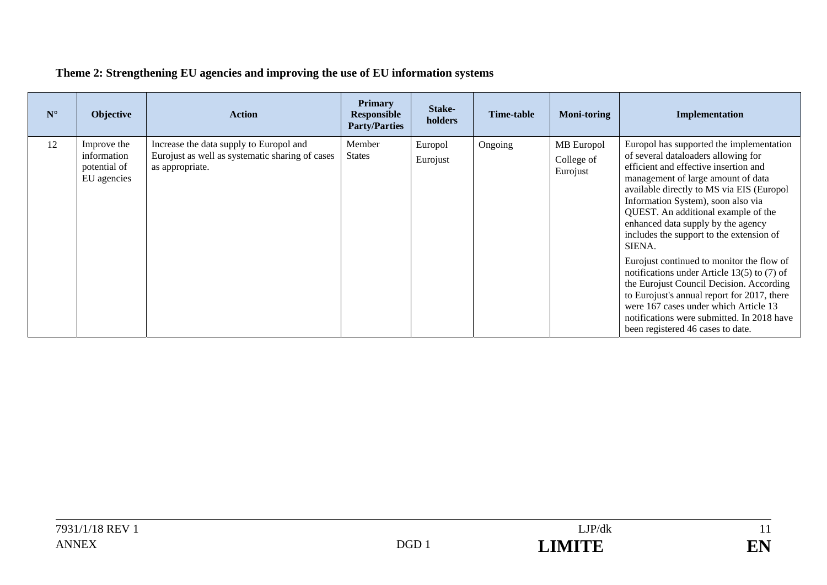| $N^{\circ}$ | Objective                                                 | <b>Action</b>                                                                                                 | <b>Primary</b><br>Responsible<br><b>Party/Parties</b> | Stake-<br>holders   | Time-table | <b>Moni-toring</b>                   | Implementation                                                                                                                                                                                                                                                                                                                                                                                                                                                                                                                                                                                                                                                                                            |
|-------------|-----------------------------------------------------------|---------------------------------------------------------------------------------------------------------------|-------------------------------------------------------|---------------------|------------|--------------------------------------|-----------------------------------------------------------------------------------------------------------------------------------------------------------------------------------------------------------------------------------------------------------------------------------------------------------------------------------------------------------------------------------------------------------------------------------------------------------------------------------------------------------------------------------------------------------------------------------------------------------------------------------------------------------------------------------------------------------|
| 12          | Improve the<br>information<br>potential of<br>EU agencies | Increase the data supply to Europol and<br>Eurojust as well as systematic sharing of cases<br>as appropriate. | Member<br><b>States</b>                               | Europol<br>Eurojust | Ongoing    | MB Europol<br>College of<br>Eurojust | Europol has supported the implementation<br>of several dataloaders allowing for<br>efficient and effective insertion and<br>management of large amount of data<br>available directly to MS via EIS (Europol<br>Information System), soon also via<br>QUEST. An additional example of the<br>enhanced data supply by the agency<br>includes the support to the extension of<br>SIENA.<br>Eurojust continued to monitor the flow of<br>notifications under Article $13(5)$ to (7) of<br>the Eurojust Council Decision. According<br>to Eurojust's annual report for 2017, there<br>were 167 cases under which Article 13<br>notifications were submitted. In 2018 have<br>been registered 46 cases to date. |

# **Theme 2: Strengthening EU agencies and improving the use of EU information systems**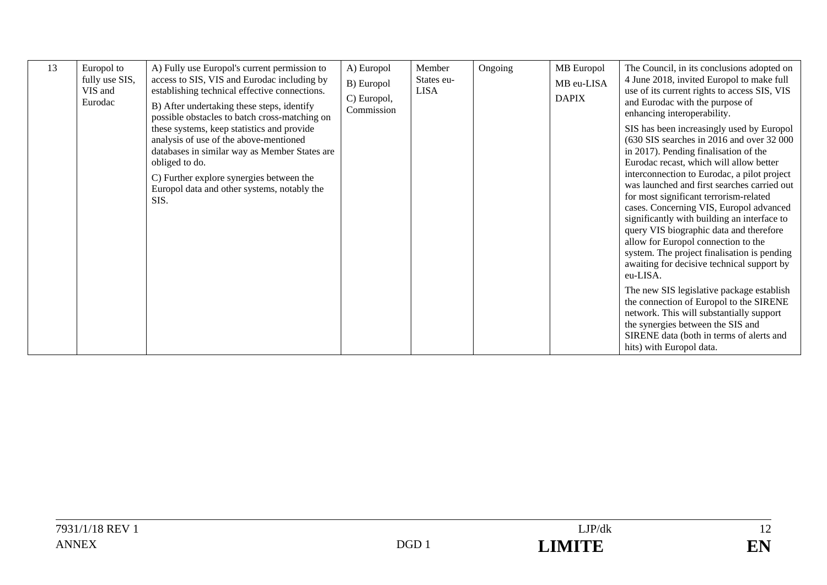| 13 | Europol to<br>fully use SIS,<br>VIS and<br>Eurodac | A) Fully use Europol's current permission to<br>access to SIS, VIS and Eurodac including by<br>establishing technical effective connections.<br>B) After undertaking these steps, identify<br>possible obstacles to batch cross-matching on                | A) Europol<br>B) Europol<br>C) Europol,<br>Commission | Member<br>States eu-<br><b>LISA</b> | Ongoing | MB Europol<br>MB eu-LISA<br><b>DAPIX</b> | The Council, in its conclusions adopted on<br>4 June 2018, invited Europol to make full<br>use of its current rights to access SIS, VIS<br>and Eurodac with the purpose of<br>enhancing interoperability.                                                                                                                                                                                                                                                                                                                                                                                                                                                                                                                                                                                                                                                 |
|----|----------------------------------------------------|------------------------------------------------------------------------------------------------------------------------------------------------------------------------------------------------------------------------------------------------------------|-------------------------------------------------------|-------------------------------------|---------|------------------------------------------|-----------------------------------------------------------------------------------------------------------------------------------------------------------------------------------------------------------------------------------------------------------------------------------------------------------------------------------------------------------------------------------------------------------------------------------------------------------------------------------------------------------------------------------------------------------------------------------------------------------------------------------------------------------------------------------------------------------------------------------------------------------------------------------------------------------------------------------------------------------|
|    |                                                    | these systems, keep statistics and provide<br>analysis of use of the above-mentioned<br>databases in similar way as Member States are<br>obliged to do.<br>C) Further explore synergies between the<br>Europol data and other systems, notably the<br>SIS. |                                                       |                                     |         |                                          | SIS has been increasingly used by Europol<br>(630 SIS searches in 2016 and over 32 000)<br>in 2017). Pending finalisation of the<br>Eurodac recast, which will allow better<br>interconnection to Eurodac, a pilot project<br>was launched and first searches carried out<br>for most significant terrorism-related<br>cases. Concerning VIS, Europol advanced<br>significantly with building an interface to<br>query VIS biographic data and therefore<br>allow for Europol connection to the<br>system. The project finalisation is pending<br>awaiting for decisive technical support by<br>eu-LISA.<br>The new SIS legislative package establish<br>the connection of Europol to the SIRENE<br>network. This will substantially support<br>the synergies between the SIS and<br>SIRENE data (both in terms of alerts and<br>hits) with Europol data. |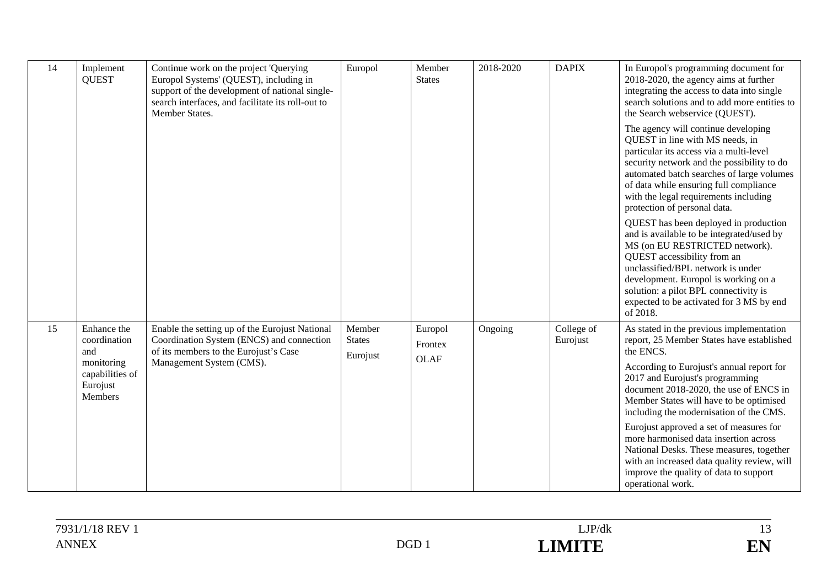| 14 | Implement<br><b>QUEST</b>                                   | Continue work on the project 'Querying<br>Europol Systems' (QUEST), including in<br>support of the development of national single-<br>search interfaces, and facilitate its roll-out to<br>Member States. | Europol                 | Member<br><b>States</b> | 2018-2020 | <b>DAPIX</b>           | In Europol's programming document for<br>2018-2020, the agency aims at further<br>integrating the access to data into single<br>search solutions and to add more entities to<br>the Search webservice (QUEST).<br>The agency will continue developing<br>QUEST in line with MS needs, in<br>particular its access via a multi-level<br>security network and the possibility to do<br>automated batch searches of large volumes<br>of data while ensuring full compliance |
|----|-------------------------------------------------------------|-----------------------------------------------------------------------------------------------------------------------------------------------------------------------------------------------------------|-------------------------|-------------------------|-----------|------------------------|--------------------------------------------------------------------------------------------------------------------------------------------------------------------------------------------------------------------------------------------------------------------------------------------------------------------------------------------------------------------------------------------------------------------------------------------------------------------------|
|    |                                                             |                                                                                                                                                                                                           |                         |                         |           |                        | with the legal requirements including<br>protection of personal data.                                                                                                                                                                                                                                                                                                                                                                                                    |
|    |                                                             |                                                                                                                                                                                                           |                         |                         |           |                        | QUEST has been deployed in production<br>and is available to be integrated/used by<br>MS (on EU RESTRICTED network).<br>QUEST accessibility from an<br>unclassified/BPL network is under<br>development. Europol is working on a<br>solution: a pilot BPL connectivity is<br>expected to be activated for 3 MS by end<br>of 2018.                                                                                                                                        |
| 15 | Enhance the<br>coordination                                 | Enable the setting up of the Eurojust National<br>Coordination System (ENCS) and connection                                                                                                               | Member<br><b>States</b> | Europol<br>Frontex      | Ongoing   | College of<br>Eurojust | As stated in the previous implementation<br>report, 25 Member States have established                                                                                                                                                                                                                                                                                                                                                                                    |
|    | and<br>monitoring<br>capabilities of<br>Eurojust<br>Members | of its members to the Eurojust's Case<br>Management System (CMS).                                                                                                                                         | Eurojust                | <b>OLAF</b>             |           |                        | the ENCS.<br>According to Eurojust's annual report for<br>2017 and Eurojust's programming<br>document 2018-2020, the use of ENCS in<br>Member States will have to be optimised<br>including the modernisation of the CMS.                                                                                                                                                                                                                                                |
|    |                                                             |                                                                                                                                                                                                           |                         |                         |           |                        | Eurojust approved a set of measures for<br>more harmonised data insertion across<br>National Desks. These measures, together<br>with an increased data quality review, will<br>improve the quality of data to support<br>operational work.                                                                                                                                                                                                                               |

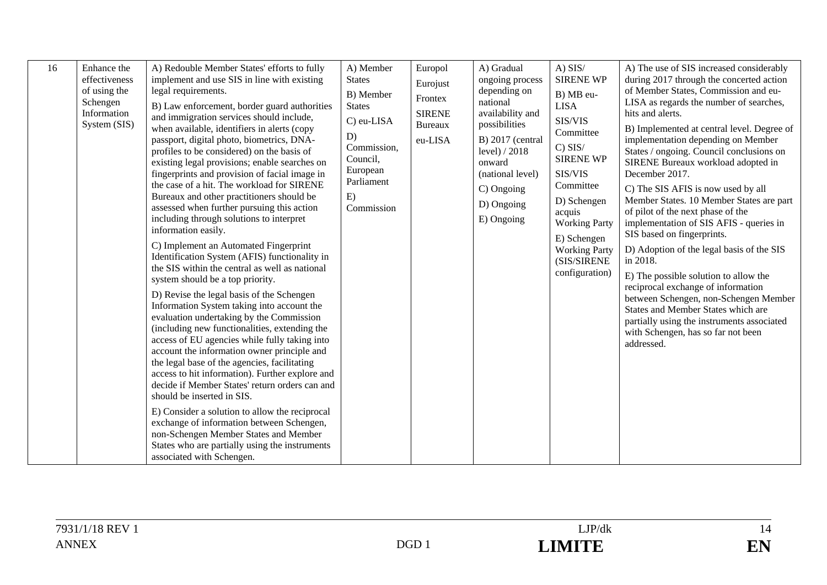| 16<br>Enhance the<br>effectiveness<br>of using the<br>Schengen<br>Information<br>System (SIS) | A) Redouble Member States' efforts to fully<br>implement and use SIS in line with existing<br>legal requirements.<br>B) Law enforcement, border guard authorities<br>and immigration services should include,<br>when available, identifiers in alerts (copy<br>passport, digital photo, biometrics, DNA-<br>profiles to be considered) on the basis of<br>existing legal provisions; enable searches on<br>fingerprints and provision of facial image in<br>the case of a hit. The workload for SIRENE<br>Bureaux and other practitioners should be<br>assessed when further pursuing this action<br>including through solutions to interpret<br>information easily.<br>C) Implement an Automated Fingerprint<br>Identification System (AFIS) functionality in<br>the SIS within the central as well as national<br>system should be a top priority.<br>D) Revise the legal basis of the Schengen<br>Information System taking into account the<br>evaluation undertaking by the Commission<br>(including new functionalities, extending the<br>access of EU agencies while fully taking into<br>account the information owner principle and<br>the legal base of the agencies, facilitating<br>access to hit information). Further explore and<br>decide if Member States' return orders can and<br>should be inserted in SIS.<br>E) Consider a solution to allow the reciprocal<br>exchange of information between Schengen,<br>non-Schengen Member States and Member | A) Member<br><b>States</b><br>B) Member<br><b>States</b><br>C) eu-LISA<br>D)<br>Commission,<br>Council,<br>European<br>Parliament<br>E)<br>Commission | Europol<br>Eurojust<br>Frontex<br><b>SIRENE</b><br><b>Bureaux</b><br>eu-LISA | A) Gradual<br>ongoing process<br>depending on<br>national<br>availability and<br>possibilities<br>B) 2017 (central<br>level) $/2018$<br>onward<br>(national level)<br>C) Ongoing<br>D) Ongoing<br>E) Ongoing | $A)$ SIS/<br><b>SIRENE WP</b><br>B) MB eu-<br><b>LISA</b><br>SIS/VIS<br>Committee<br>$C)$ SIS/<br><b>SIRENE WP</b><br>SIS/VIS<br>Committee<br>D) Schengen<br>acquis<br><b>Working Party</b><br>E) Schengen<br><b>Working Party</b><br>(SIS/SIRENE<br>configuration) | A) The use of SIS increased considerably<br>during 2017 through the concerted action<br>of Member States, Commission and eu-<br>LISA as regards the number of searches,<br>hits and alerts.<br>B) Implemented at central level. Degree of<br>implementation depending on Member<br>States / ongoing. Council conclusions on<br>SIRENE Bureaux workload adopted in<br>December 2017.<br>C) The SIS AFIS is now used by all<br>Member States. 10 Member States are part<br>of pilot of the next phase of the<br>implementation of SIS AFIS - queries in<br>SIS based on fingerprints.<br>D) Adoption of the legal basis of the SIS<br>in 2018.<br>E) The possible solution to allow the<br>reciprocal exchange of information<br>between Schengen, non-Schengen Member<br>States and Member States which are<br>partially using the instruments associated<br>with Schengen, has so far not been<br>addressed. |
|-----------------------------------------------------------------------------------------------|--------------------------------------------------------------------------------------------------------------------------------------------------------------------------------------------------------------------------------------------------------------------------------------------------------------------------------------------------------------------------------------------------------------------------------------------------------------------------------------------------------------------------------------------------------------------------------------------------------------------------------------------------------------------------------------------------------------------------------------------------------------------------------------------------------------------------------------------------------------------------------------------------------------------------------------------------------------------------------------------------------------------------------------------------------------------------------------------------------------------------------------------------------------------------------------------------------------------------------------------------------------------------------------------------------------------------------------------------------------------------------------------------------------------------------------------------------------------------|-------------------------------------------------------------------------------------------------------------------------------------------------------|------------------------------------------------------------------------------|--------------------------------------------------------------------------------------------------------------------------------------------------------------------------------------------------------------|---------------------------------------------------------------------------------------------------------------------------------------------------------------------------------------------------------------------------------------------------------------------|--------------------------------------------------------------------------------------------------------------------------------------------------------------------------------------------------------------------------------------------------------------------------------------------------------------------------------------------------------------------------------------------------------------------------------------------------------------------------------------------------------------------------------------------------------------------------------------------------------------------------------------------------------------------------------------------------------------------------------------------------------------------------------------------------------------------------------------------------------------------------------------------------------------|
|                                                                                               | States who are partially using the instruments<br>associated with Schengen.                                                                                                                                                                                                                                                                                                                                                                                                                                                                                                                                                                                                                                                                                                                                                                                                                                                                                                                                                                                                                                                                                                                                                                                                                                                                                                                                                                                              |                                                                                                                                                       |                                                                              |                                                                                                                                                                                                              |                                                                                                                                                                                                                                                                     |                                                                                                                                                                                                                                                                                                                                                                                                                                                                                                                                                                                                                                                                                                                                                                                                                                                                                                              |

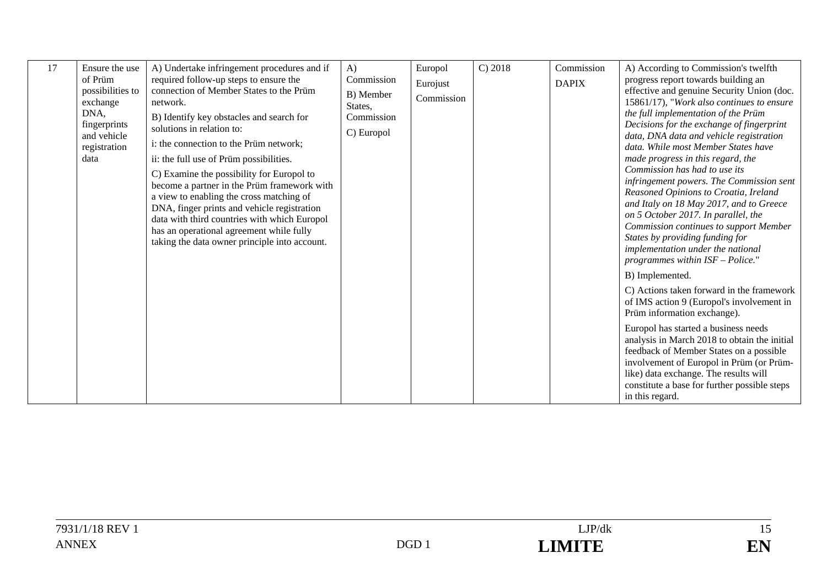| 17 | Ensure the use<br>of Prüm<br>possibilities to<br>exchange<br>DNA,<br>fingerprints<br>and vehicle<br>registration<br>data | A) Undertake infringement procedures and if<br>required follow-up steps to ensure the<br>connection of Member States to the Prüm<br>network.<br>B) Identify key obstacles and search for<br>solutions in relation to:<br>i: the connection to the Prüm network;<br>ii: the full use of Prüm possibilities.<br>C) Examine the possibility for Europol to<br>become a partner in the Prüm framework with<br>a view to enabling the cross matching of<br>DNA, finger prints and vehicle registration<br>data with third countries with which Europol<br>has an operational agreement while fully<br>taking the data owner principle into account. | $\bf{A}$<br>Commission<br>B) Member<br>States,<br>Commission<br>C) Europol | Europol<br>Eurojust<br>Commission | C) 2018 | Commission<br><b>DAPIX</b> | A) According to Commission's twelfth<br>progress report towards building an<br>effective and genuine Security Union (doc.<br>15861/17), "Work also continues to ensure<br>the full implementation of the Prüm<br>Decisions for the exchange of fingerprint<br>data, DNA data and vehicle registration<br>data. While most Member States have<br>made progress in this regard, the<br>Commission has had to use its<br>infringement powers. The Commission sent<br>Reasoned Opinions to Croatia, Ireland<br>and Italy on 18 May 2017, and to Greece<br>on 5 October 2017. In parallel, the<br><b>Commission continues to support Member</b><br>States by providing funding for |
|----|--------------------------------------------------------------------------------------------------------------------------|------------------------------------------------------------------------------------------------------------------------------------------------------------------------------------------------------------------------------------------------------------------------------------------------------------------------------------------------------------------------------------------------------------------------------------------------------------------------------------------------------------------------------------------------------------------------------------------------------------------------------------------------|----------------------------------------------------------------------------|-----------------------------------|---------|----------------------------|-------------------------------------------------------------------------------------------------------------------------------------------------------------------------------------------------------------------------------------------------------------------------------------------------------------------------------------------------------------------------------------------------------------------------------------------------------------------------------------------------------------------------------------------------------------------------------------------------------------------------------------------------------------------------------|
|    |                                                                                                                          |                                                                                                                                                                                                                                                                                                                                                                                                                                                                                                                                                                                                                                                |                                                                            |                                   |         |                            | implementation under the national<br>programmes within $ISF - Police."$<br>B) Implemented.<br>C) Actions taken forward in the framework<br>of IMS action 9 (Europol's involvement in<br>Prüm information exchange).<br>Europol has started a business needs<br>analysis in March 2018 to obtain the initial<br>feedback of Member States on a possible<br>involvement of Europol in Prüm (or Prüm-<br>like) data exchange. The results will<br>constitute a base for further possible steps<br>in this regard.                                                                                                                                                                |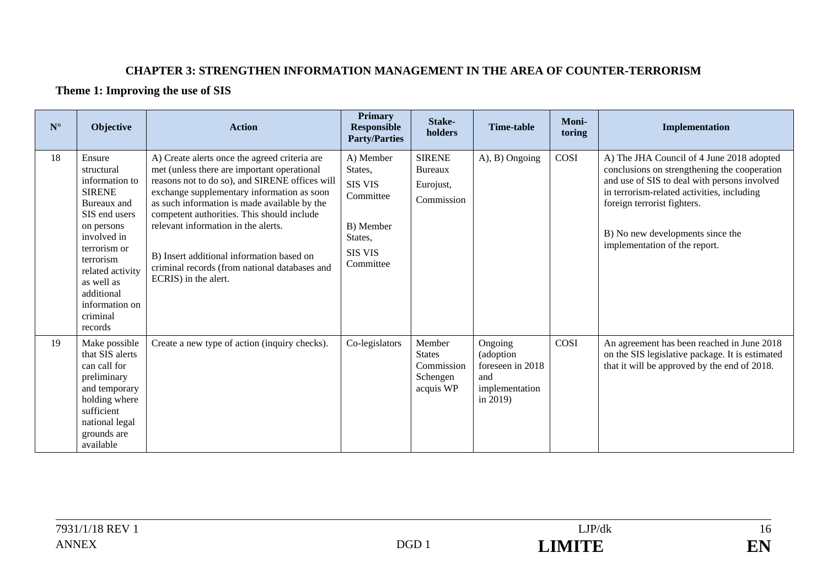#### **CHAPTER 3: STRENGTHEN INFORMATION MANAGEMENT IN THE AREA OF COUNTER-TERRORISM**

#### **Theme 1: Improving the use of SIS**

| $N^{\circ}$ | Objective                                                                                                                                                                                                                                  | <b>Action</b>                                                                                                                                                                                                                                                                                                                                                                                                                                           | <b>Primary</b><br><b>Responsible</b><br><b>Party/Parties</b>                                               | Stake-<br>holders                                              | Time-table                                                                       | Moni-<br>toring | Implementation                                                                                                                                                                                                                                                                              |
|-------------|--------------------------------------------------------------------------------------------------------------------------------------------------------------------------------------------------------------------------------------------|---------------------------------------------------------------------------------------------------------------------------------------------------------------------------------------------------------------------------------------------------------------------------------------------------------------------------------------------------------------------------------------------------------------------------------------------------------|------------------------------------------------------------------------------------------------------------|----------------------------------------------------------------|----------------------------------------------------------------------------------|-----------------|---------------------------------------------------------------------------------------------------------------------------------------------------------------------------------------------------------------------------------------------------------------------------------------------|
| 18          | Ensure<br>structural<br>information to<br><b>SIRENE</b><br>Bureaux and<br>SIS end users<br>on persons<br>involved in<br>terrorism or<br>terrorism<br>related activity<br>as well as<br>additional<br>information on<br>criminal<br>records | A) Create alerts once the agreed criteria are<br>met (unless there are important operational<br>reasons not to do so), and SIRENE offices will<br>exchange supplementary information as soon<br>as such information is made available by the<br>competent authorities. This should include<br>relevant information in the alerts.<br>B) Insert additional information based on<br>criminal records (from national databases and<br>ECRIS) in the alert. | A) Member<br>States,<br><b>SIS VIS</b><br>Committee<br>B) Member<br>States,<br><b>SIS VIS</b><br>Committee | <b>SIRENE</b><br><b>Bureaux</b><br>Eurojust,<br>Commission     | A), B) Ongoing                                                                   | COSI            | A) The JHA Council of 4 June 2018 adopted<br>conclusions on strengthening the cooperation<br>and use of SIS to deal with persons involved<br>in terrorism-related activities, including<br>foreign terrorist fighters.<br>B) No new developments since the<br>implementation of the report. |
| 19          | Make possible<br>that SIS alerts<br>can call for<br>preliminary<br>and temporary<br>holding where<br>sufficient<br>national legal<br>grounds are<br>available                                                                              | Create a new type of action (inquiry checks).                                                                                                                                                                                                                                                                                                                                                                                                           | Co-legislators                                                                                             | Member<br><b>States</b><br>Commission<br>Schengen<br>acquis WP | Ongoing<br>(adoption<br>foreseen in 2018<br>and<br>implementation<br>in $2019$ ) | COSI            | An agreement has been reached in June 2018<br>on the SIS legislative package. It is estimated<br>that it will be approved by the end of 2018.                                                                                                                                               |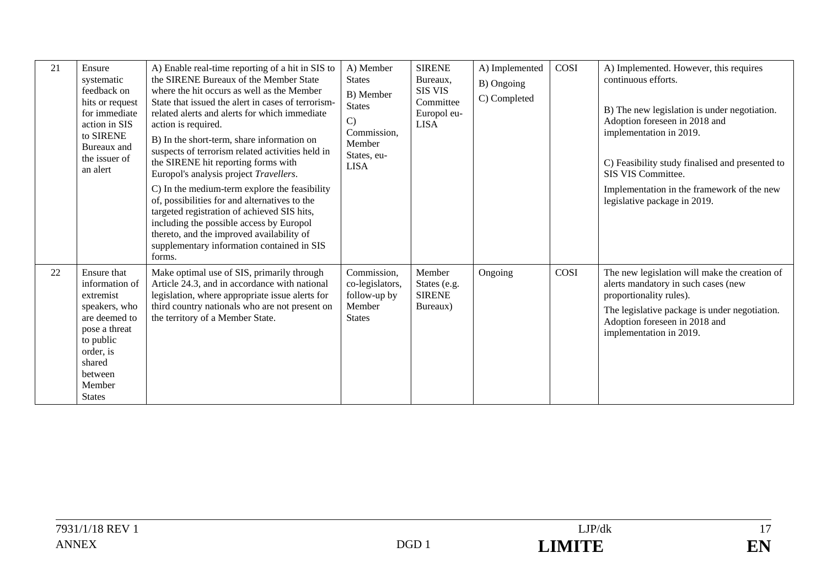| 21 | Ensure<br>systematic<br>feedback on<br>hits or request<br>for immediate<br>action in SIS<br>to SIRENE<br>Bureaux and<br>the issuer of<br>an alert                       | A) Enable real-time reporting of a hit in SIS to<br>the SIRENE Bureaux of the Member State<br>where the hit occurs as well as the Member<br>State that issued the alert in cases of terrorism-<br>related alerts and alerts for which immediate<br>action is required.<br>B) In the short-term, share information on<br>suspects of terrorism related activities held in<br>the SIRENE hit reporting forms with<br>Europol's analysis project Travellers.<br>C) In the medium-term explore the feasibility<br>of, possibilities for and alternatives to the<br>targeted registration of achieved SIS hits,<br>including the possible access by Europol<br>thereto, and the improved availability of<br>supplementary information contained in SIS<br>forms. | A) Member<br><b>States</b><br>B) Member<br><b>States</b><br>$\mathcal{C}$<br>Commission,<br>Member<br>States, eu-<br><b>LISA</b> | <b>SIRENE</b><br>Bureaux,<br><b>SIS VIS</b><br>Committee<br>Europol eu-<br><b>LISA</b> | A) Implemented<br>B) Ongoing<br>C) Completed | COSI | A) Implemented. However, this requires<br>continuous efforts.<br>B) The new legislation is under negotiation.<br>Adoption foreseen in 2018 and<br>implementation in 2019.<br>C) Feasibility study finalised and presented to<br>SIS VIS Committee.<br>Implementation in the framework of the new<br>legislative package in 2019. |
|----|-------------------------------------------------------------------------------------------------------------------------------------------------------------------------|-------------------------------------------------------------------------------------------------------------------------------------------------------------------------------------------------------------------------------------------------------------------------------------------------------------------------------------------------------------------------------------------------------------------------------------------------------------------------------------------------------------------------------------------------------------------------------------------------------------------------------------------------------------------------------------------------------------------------------------------------------------|----------------------------------------------------------------------------------------------------------------------------------|----------------------------------------------------------------------------------------|----------------------------------------------|------|----------------------------------------------------------------------------------------------------------------------------------------------------------------------------------------------------------------------------------------------------------------------------------------------------------------------------------|
| 22 | Ensure that<br>information of<br>extremist<br>speakers, who<br>are deemed to<br>pose a threat<br>to public<br>order, is<br>shared<br>between<br>Member<br><b>States</b> | Make optimal use of SIS, primarily through<br>Article 24.3, and in accordance with national<br>legislation, where appropriate issue alerts for<br>third country nationals who are not present on<br>the territory of a Member State.                                                                                                                                                                                                                                                                                                                                                                                                                                                                                                                        | Commission,<br>co-legislators,<br>follow-up by<br>Member<br><b>States</b>                                                        | Member<br>States (e.g.<br><b>SIRENE</b><br>Bureaux)                                    | Ongoing                                      | COSI | The new legislation will make the creation of<br>alerts mandatory in such cases (new<br>proportionality rules).<br>The legislative package is under negotiation.<br>Adoption foreseen in 2018 and<br>implementation in 2019.                                                                                                     |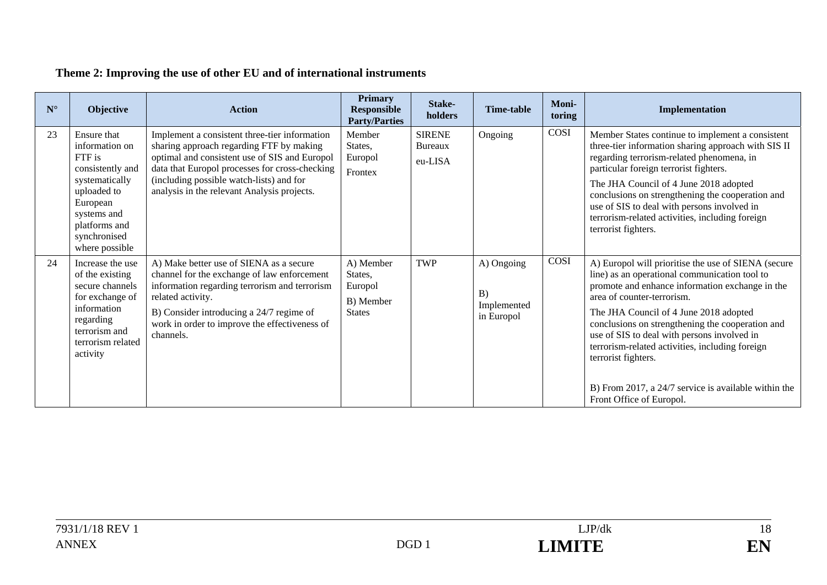# **Theme 2: Improving the use of other EU and of international instruments**

| $N^{\circ}$ | Objective                                                                                                                                                                  | <b>Action</b>                                                                                                                                                                                                                                                                           | <b>Primary</b><br><b>Responsible</b><br><b>Party/Parties</b>  | Stake-<br>holders                          | <b>Time-table</b>                             | Moni-<br>toring | Implementation                                                                                                                                                                                                                                                                                                                                                                                                                                                                                   |
|-------------|----------------------------------------------------------------------------------------------------------------------------------------------------------------------------|-----------------------------------------------------------------------------------------------------------------------------------------------------------------------------------------------------------------------------------------------------------------------------------------|---------------------------------------------------------------|--------------------------------------------|-----------------------------------------------|-----------------|--------------------------------------------------------------------------------------------------------------------------------------------------------------------------------------------------------------------------------------------------------------------------------------------------------------------------------------------------------------------------------------------------------------------------------------------------------------------------------------------------|
| 23          | Ensure that<br>information on<br>FTF is<br>consistently and<br>systematically<br>uploaded to<br>European<br>systems and<br>platforms and<br>synchronised<br>where possible | Implement a consistent three-tier information<br>sharing approach regarding FTF by making<br>optimal and consistent use of SIS and Europol<br>data that Europol processes for cross-checking<br>(including possible watch-lists) and for<br>analysis in the relevant Analysis projects. | Member<br>States,<br>Europol<br>Frontex                       | <b>SIRENE</b><br><b>Bureaux</b><br>eu-LISA | Ongoing                                       | COSI            | Member States continue to implement a consistent<br>three-tier information sharing approach with SIS II<br>regarding terrorism-related phenomena, in<br>particular foreign terrorist fighters.<br>The JHA Council of 4 June 2018 adopted<br>conclusions on strengthening the cooperation and<br>use of SIS to deal with persons involved in<br>terrorism-related activities, including foreign<br>terrorist fighters.                                                                            |
| 24          | Increase the use<br>of the existing<br>secure channels<br>for exchange of<br>information<br>regarding<br>terrorism and<br>terrorism related<br>activity                    | A) Make better use of SIENA as a secure<br>channel for the exchange of law enforcement<br>information regarding terrorism and terrorism<br>related activity.<br>B) Consider introducing a 24/7 regime of<br>work in order to improve the effectiveness of<br>channels.                  | A) Member<br>States,<br>Europol<br>B) Member<br><b>States</b> | <b>TWP</b>                                 | A) Ongoing<br>B)<br>Implemented<br>in Europol | COSI            | A) Europol will prioritise the use of SIENA (secure<br>line) as an operational communication tool to<br>promote and enhance information exchange in the<br>area of counter-terrorism.<br>The JHA Council of 4 June 2018 adopted<br>conclusions on strengthening the cooperation and<br>use of SIS to deal with persons involved in<br>terrorism-related activities, including foreign<br>terrorist fighters.<br>B) From 2017, a 24/7 service is available within the<br>Front Office of Europol. |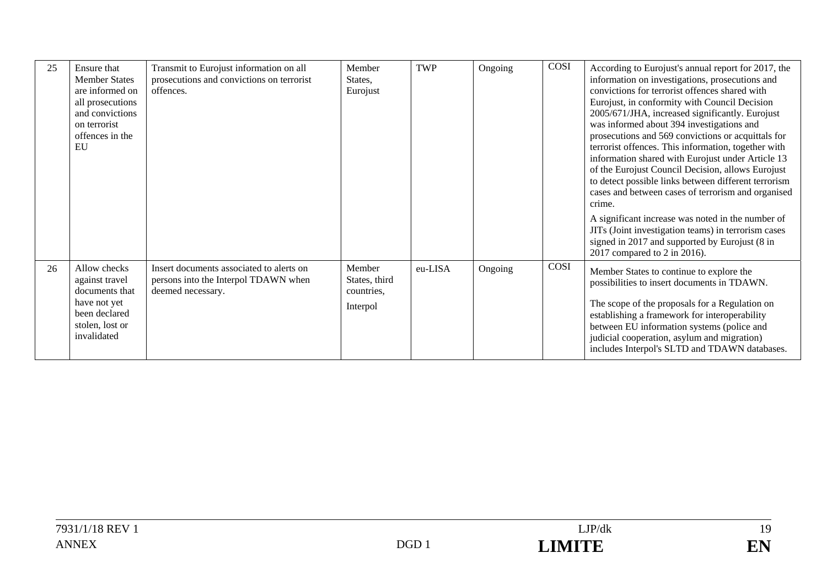| 25 | Ensure that          | Transmit to Eurojust information on all   | Member        | <b>TWP</b> | Ongoing | COSI | According to Eurojust's annual report for 2017, the  |
|----|----------------------|-------------------------------------------|---------------|------------|---------|------|------------------------------------------------------|
|    | <b>Member States</b> | prosecutions and convictions on terrorist | States.       |            |         |      | information on investigations, prosecutions and      |
|    | are informed on      | offences.                                 |               |            |         |      | convictions for terrorist offences shared with       |
|    |                      |                                           | Eurojust      |            |         |      |                                                      |
|    | all prosecutions     |                                           |               |            |         |      | Eurojust, in conformity with Council Decision        |
|    | and convictions      |                                           |               |            |         |      | 2005/671/JHA, increased significantly. Eurojust      |
|    | on terrorist         |                                           |               |            |         |      | was informed about 394 investigations and            |
|    | offences in the      |                                           |               |            |         |      | prosecutions and 569 convictions or acquittals for   |
|    | EU                   |                                           |               |            |         |      | terrorist offences. This information, together with  |
|    |                      |                                           |               |            |         |      | information shared with Eurojust under Article 13    |
|    |                      |                                           |               |            |         |      | of the Eurojust Council Decision, allows Eurojust    |
|    |                      |                                           |               |            |         |      | to detect possible links between different terrorism |
|    |                      |                                           |               |            |         |      | cases and between cases of terrorism and organised   |
|    |                      |                                           |               |            |         |      | crime.                                               |
|    |                      |                                           |               |            |         |      | A significant increase was noted in the number of    |
|    |                      |                                           |               |            |         |      | JITs (Joint investigation teams) in terrorism cases  |
|    |                      |                                           |               |            |         |      | signed in 2017 and supported by Eurojust (8 in       |
|    |                      |                                           |               |            |         |      | 2017 compared to 2 in 2016).                         |
| 26 | Allow checks         | Insert documents associated to alerts on  | Member        | eu-LISA    |         | COSI |                                                      |
|    |                      |                                           |               |            | Ongoing |      | Member States to continue to explore the             |
|    | against travel       | persons into the Interpol TDAWN when      | States, third |            |         |      | possibilities to insert documents in TDAWN.          |
|    | documents that       | deemed necessary.                         | countries,    |            |         |      |                                                      |
|    | have not yet         |                                           | Interpol      |            |         |      | The scope of the proposals for a Regulation on       |
|    | been declared        |                                           |               |            |         |      | establishing a framework for interoperability        |
|    | stolen, lost or      |                                           |               |            |         |      | between EU information systems (police and           |
|    | invalidated          |                                           |               |            |         |      | judicial cooperation, asylum and migration)          |
|    |                      |                                           |               |            |         |      | includes Interpol's SLTD and TDAWN databases.        |
|    |                      |                                           |               |            |         |      |                                                      |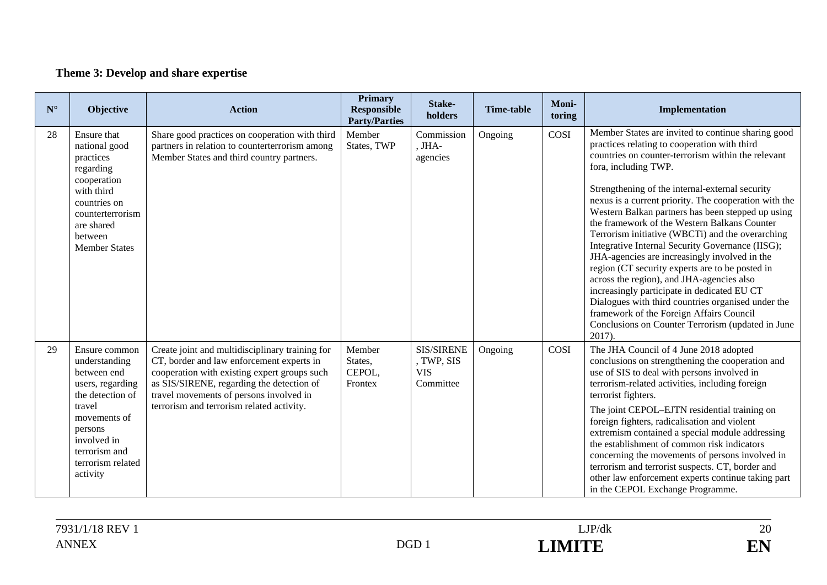# **Theme 3: Develop and share expertise**

| ${\bf N}^{\circ}$ | <b>Objective</b>                                                                                                                                                                            | <b>Action</b>                                                                                                                                                                                                                                                                     | <b>Primary</b><br><b>Responsible</b><br><b>Party/Parties</b> | Stake-<br>holders                                          | <b>Time-table</b> | Moni-<br>toring | Implementation                                                                                                                                                                                                                                                                                                                                                                                                                                                                                                                                                                                                                                                                                                                                                                                                                                                                |
|-------------------|---------------------------------------------------------------------------------------------------------------------------------------------------------------------------------------------|-----------------------------------------------------------------------------------------------------------------------------------------------------------------------------------------------------------------------------------------------------------------------------------|--------------------------------------------------------------|------------------------------------------------------------|-------------------|-----------------|-------------------------------------------------------------------------------------------------------------------------------------------------------------------------------------------------------------------------------------------------------------------------------------------------------------------------------------------------------------------------------------------------------------------------------------------------------------------------------------------------------------------------------------------------------------------------------------------------------------------------------------------------------------------------------------------------------------------------------------------------------------------------------------------------------------------------------------------------------------------------------|
| 28                | Ensure that<br>national good<br>practices<br>regarding<br>cooperation<br>with third<br>countries on<br>counterterrorism<br>are shared<br>between<br><b>Member States</b>                    | Share good practices on cooperation with third<br>partners in relation to counterterrorism among<br>Member States and third country partners.                                                                                                                                     | Member<br>States, TWP                                        | Commission<br>, JHA-<br>agencies                           | Ongoing           | COSI            | Member States are invited to continue sharing good<br>practices relating to cooperation with third<br>countries on counter-terrorism within the relevant<br>fora, including TWP.<br>Strengthening of the internal-external security<br>nexus is a current priority. The cooperation with the<br>Western Balkan partners has been stepped up using<br>the framework of the Western Balkans Counter<br>Terrorism initiative (WBCTi) and the overarching<br>Integrative Internal Security Governance (IISG);<br>JHA-agencies are increasingly involved in the<br>region (CT security experts are to be posted in<br>across the region), and JHA-agencies also<br>increasingly participate in dedicated EU CT<br>Dialogues with third countries organised under the<br>framework of the Foreign Affairs Council<br>Conclusions on Counter Terrorism (updated in June<br>$2017$ ). |
| 29                | Ensure common<br>understanding<br>between end<br>users, regarding<br>the detection of<br>travel<br>movements of<br>persons<br>involved in<br>terrorism and<br>terrorism related<br>activity | Create joint and multidisciplinary training for<br>CT, border and law enforcement experts in<br>cooperation with existing expert groups such<br>as SIS/SIRENE, regarding the detection of<br>travel movements of persons involved in<br>terrorism and terrorism related activity. | Member<br>States,<br>CEPOL,<br>Frontex                       | <b>SIS/SIRENE</b><br>, TWP, SIS<br><b>VIS</b><br>Committee | Ongoing           | COSI            | The JHA Council of 4 June 2018 adopted<br>conclusions on strengthening the cooperation and<br>use of SIS to deal with persons involved in<br>terrorism-related activities, including foreign<br>terrorist fighters.<br>The joint CEPOL-EJTN residential training on<br>foreign fighters, radicalisation and violent<br>extremism contained a special module addressing<br>the establishment of common risk indicators<br>concerning the movements of persons involved in<br>terrorism and terrorist suspects. CT, border and<br>other law enforcement experts continue taking part<br>in the CEPOL Exchange Programme.                                                                                                                                                                                                                                                        |

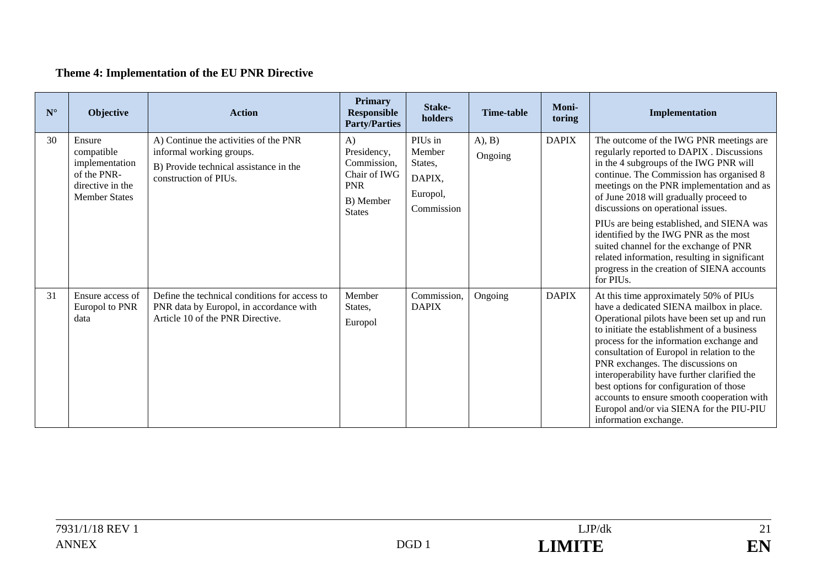# **Theme 4: Implementation of the EU PNR Directive**

| $\mathbf{N}^\circ$ | Objective                                                                                         | <b>Action</b>                                                                                                                        | <b>Primary</b><br><b>Responsible</b><br><b>Party/Parties</b>                                 | Stake-<br>holders                                                | <b>Time-table</b>  | Moni-<br>toring | Implementation                                                                                                                                                                                                                                                                                                                                                                                                                                                                                                                                      |
|--------------------|---------------------------------------------------------------------------------------------------|--------------------------------------------------------------------------------------------------------------------------------------|----------------------------------------------------------------------------------------------|------------------------------------------------------------------|--------------------|-----------------|-----------------------------------------------------------------------------------------------------------------------------------------------------------------------------------------------------------------------------------------------------------------------------------------------------------------------------------------------------------------------------------------------------------------------------------------------------------------------------------------------------------------------------------------------------|
| 30                 | Ensure<br>compatible<br>implementation<br>of the PNR-<br>directive in the<br><b>Member States</b> | A) Continue the activities of the PNR<br>informal working groups.<br>B) Provide technical assistance in the<br>construction of PIUs. | A)<br>Presidency,<br>Commission,<br>Chair of IWG<br><b>PNR</b><br>B) Member<br><b>States</b> | PIUs in<br>Member<br>States,<br>DAPIX,<br>Europol,<br>Commission | (A), B)<br>Ongoing | <b>DAPIX</b>    | The outcome of the IWG PNR meetings are<br>regularly reported to DAPIX . Discussions<br>in the 4 subgroups of the IWG PNR will<br>continue. The Commission has organised 8<br>meetings on the PNR implementation and as<br>of June 2018 will gradually proceed to<br>discussions on operational issues.<br>PIUs are being established, and SIENA was<br>identified by the IWG PNR as the most<br>suited channel for the exchange of PNR<br>related information, resulting in significant<br>progress in the creation of SIENA accounts<br>for PIUs. |
| 31                 | Ensure access of<br>Europol to PNR<br>data                                                        | Define the technical conditions for access to<br>PNR data by Europol, in accordance with<br>Article 10 of the PNR Directive.         | Member<br>States.<br>Europol                                                                 | Commission,<br><b>DAPIX</b>                                      | Ongoing            | <b>DAPIX</b>    | At this time approximately 50% of PIUs<br>have a dedicated SIENA mailbox in place.<br>Operational pilots have been set up and run<br>to initiate the establishment of a business<br>process for the information exchange and<br>consultation of Europol in relation to the<br>PNR exchanges. The discussions on<br>interoperability have further clarified the<br>best options for configuration of those<br>accounts to ensure smooth cooperation with<br>Europol and/or via SIENA for the PIU-PIU<br>information exchange.                        |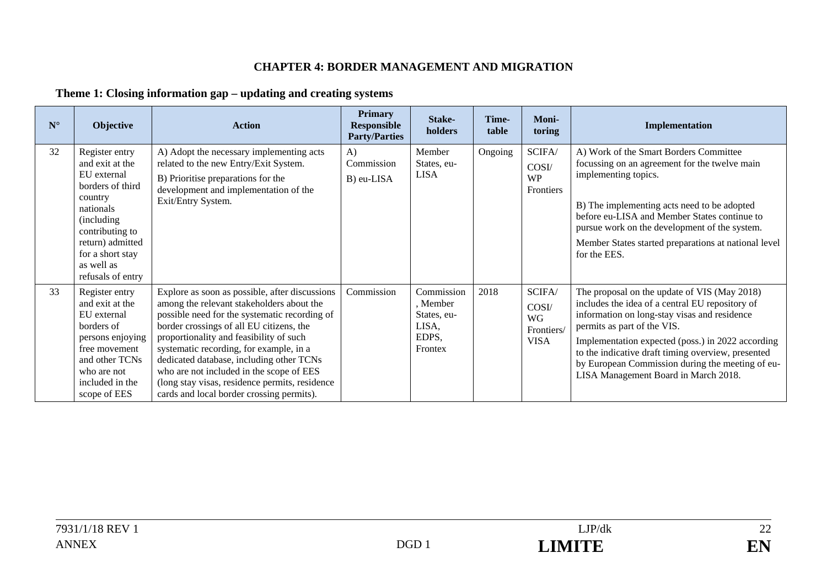#### **CHAPTER 4: BORDER MANAGEMENT AND MIGRATION**

### **Theme 1: Closing information gap – updating and creating systems**

| $\mathbf{N}^\circ$ | <b>Objective</b>                                                                                                                                                                                          | <b>Action</b>                                                                                                                                                                                                                                                                                                                                                                                                                                                         | Primary<br>Responsible<br><b>Party/Parties</b> | Stake-<br>holders                                                  | Time-<br>table | Moni-<br>toring                                           | Implementation                                                                                                                                                                                                                                                                                                                                                                        |
|--------------------|-----------------------------------------------------------------------------------------------------------------------------------------------------------------------------------------------------------|-----------------------------------------------------------------------------------------------------------------------------------------------------------------------------------------------------------------------------------------------------------------------------------------------------------------------------------------------------------------------------------------------------------------------------------------------------------------------|------------------------------------------------|--------------------------------------------------------------------|----------------|-----------------------------------------------------------|---------------------------------------------------------------------------------------------------------------------------------------------------------------------------------------------------------------------------------------------------------------------------------------------------------------------------------------------------------------------------------------|
| 32                 | Register entry<br>and exit at the<br>EU external<br>borders of third<br>country<br>nationals<br>(including)<br>contributing to<br>return) admitted<br>for a short stay<br>as well as<br>refusals of entry | A) Adopt the necessary implementing acts<br>related to the new Entry/Exit System.<br>B) Prioritise preparations for the<br>development and implementation of the<br>Exit/Entry System.                                                                                                                                                                                                                                                                                | $\bf{A}$<br>Commission<br>B) eu-LISA           | Member<br>States, eu-<br><b>LISA</b>                               | Ongoing        | SCIFA/<br>COSI/<br><b>WP</b><br>Frontiers                 | A) Work of the Smart Borders Committee<br>focussing on an agreement for the twelve main<br>implementing topics.<br>B) The implementing acts need to be adopted<br>before eu-LISA and Member States continue to<br>pursue work on the development of the system.<br>Member States started preparations at national level<br>for the EES.                                               |
| 33                 | Register entry<br>and exit at the<br>EU external<br>borders of<br>persons enjoying<br>free movement<br>and other TCNs<br>who are not<br>included in the<br>scope of EES                                   | Explore as soon as possible, after discussions<br>among the relevant stakeholders about the<br>possible need for the systematic recording of<br>border crossings of all EU citizens, the<br>proportionality and feasibility of such<br>systematic recording, for example, in a<br>dedicated database, including other TCNs<br>who are not included in the scope of EES<br>(long stay visas, residence permits, residence<br>cards and local border crossing permits). | Commission                                     | Commission<br>, Member<br>States, eu-<br>LISA,<br>EDPS,<br>Frontex | 2018           | SCIFA/<br>COSI/<br><b>WG</b><br>Frontiers/<br><b>VISA</b> | The proposal on the update of VIS (May 2018)<br>includes the idea of a central EU repository of<br>information on long-stay visas and residence<br>permits as part of the VIS.<br>Implementation expected (poss.) in 2022 according<br>to the indicative draft timing overview, presented<br>by European Commission during the meeting of eu-<br>LISA Management Board in March 2018. |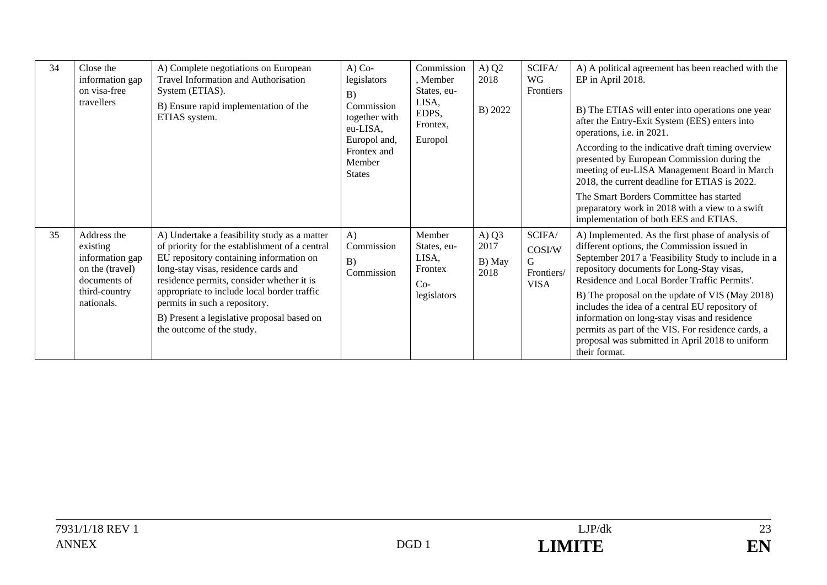| 34 | Close the<br>information gap<br>on visa-free<br>travellers                                                   | A) Complete negotiations on European<br>Travel Information and Authorisation<br>System (ETIAS).<br>B) Ensure rapid implementation of the<br>ETIAS system.                                                                                                                                                                                                                                 | $A)$ Co-<br>legislators<br>B)<br>Commission<br>together with<br>eu-LISA,<br>Europol and,<br>Frontex and<br>Member<br><b>States</b> | Commission<br>, Member<br>States, eu-<br>LISA,<br>EDPS,<br>Frontex,<br>Europol | A) $Q2$<br>2018<br>B) 2022        | SCIFA/<br>WG<br>Frontiers                          | A) A political agreement has been reached with the<br>EP in April 2018.<br>B) The ETIAS will enter into operations one year<br>after the Entry-Exit System (EES) enters into<br>operations, i.e. in 2021.<br>According to the indicative draft timing overview<br>presented by European Commission during the<br>meeting of eu-LISA Management Board in March<br>2018, the current deadline for ETIAS is 2022.<br>The Smart Borders Committee has started<br>preparatory work in 2018 with a view to a swift<br>implementation of both EES and ETIAS. |
|----|--------------------------------------------------------------------------------------------------------------|-------------------------------------------------------------------------------------------------------------------------------------------------------------------------------------------------------------------------------------------------------------------------------------------------------------------------------------------------------------------------------------------|------------------------------------------------------------------------------------------------------------------------------------|--------------------------------------------------------------------------------|-----------------------------------|----------------------------------------------------|-------------------------------------------------------------------------------------------------------------------------------------------------------------------------------------------------------------------------------------------------------------------------------------------------------------------------------------------------------------------------------------------------------------------------------------------------------------------------------------------------------------------------------------------------------|
| 35 | Address the<br>existing<br>information gap<br>on the (travel)<br>documents of<br>third-country<br>nationals. | A) Undertake a feasibility study as a matter<br>of priority for the establishment of a central<br>EU repository containing information on<br>long-stay visas, residence cards and<br>residence permits, consider whether it is<br>appropriate to include local border traffic<br>permits in such a repository.<br>B) Present a legislative proposal based on<br>the outcome of the study. | A)<br>Commission<br>B)<br>Commission                                                                                               | Member<br>States, eu-<br>LISA,<br>Frontex<br>$Co-$<br>legislators              | A) $Q3$<br>2017<br>B) May<br>2018 | SCIFA/<br>COSI/W<br>G<br>Frontiers/<br><b>VISA</b> | A) Implemented. As the first phase of analysis of<br>different options, the Commission issued in<br>September 2017 a 'Feasibility Study to include in a<br>repository documents for Long-Stay visas,<br>Residence and Local Border Traffic Permits'.<br>B) The proposal on the update of VIS (May 2018)<br>includes the idea of a central EU repository of<br>information on long-stay visas and residence<br>permits as part of the VIS. For residence cards, a<br>proposal was submitted in April 2018 to uniform<br>their format.                  |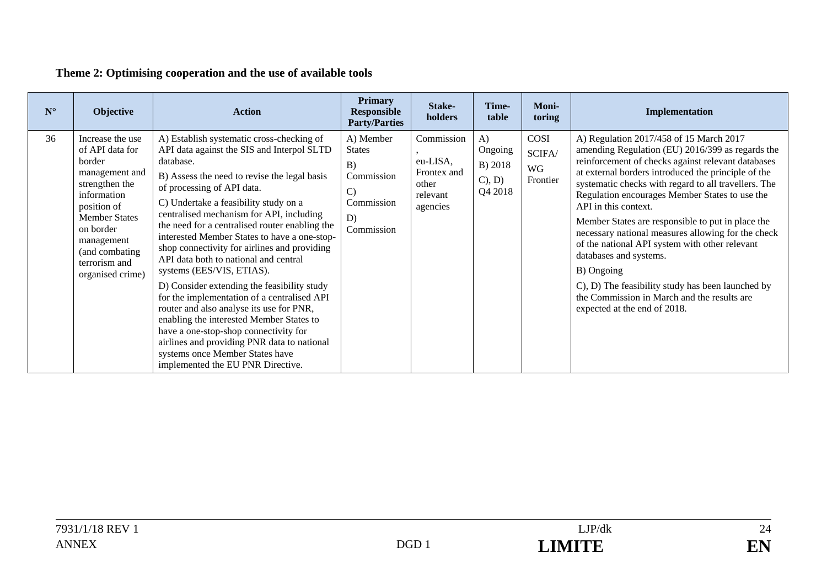# **Theme 2: Optimising cooperation and the use of available tools**

| $\mathbf{N}^\circ$ | <b>Objective</b>                                                                                                                                                                                                           | <b>Action</b>                                                                                                                                                                                                                                                                                                                                                                                                                                                                                                                                                                                                                                                                                                                                                                                                                                         | <b>Primary</b><br><b>Responsible</b><br><b>Party/Parties</b>                                      | Stake-<br>holders                                                      | Time-<br>table                                      | <b>Moni-</b><br>toring           | Implementation                                                                                                                                                                                                                                                                                                                                                                                                                                                                                                                                                                                                                                                                      |
|--------------------|----------------------------------------------------------------------------------------------------------------------------------------------------------------------------------------------------------------------------|-------------------------------------------------------------------------------------------------------------------------------------------------------------------------------------------------------------------------------------------------------------------------------------------------------------------------------------------------------------------------------------------------------------------------------------------------------------------------------------------------------------------------------------------------------------------------------------------------------------------------------------------------------------------------------------------------------------------------------------------------------------------------------------------------------------------------------------------------------|---------------------------------------------------------------------------------------------------|------------------------------------------------------------------------|-----------------------------------------------------|----------------------------------|-------------------------------------------------------------------------------------------------------------------------------------------------------------------------------------------------------------------------------------------------------------------------------------------------------------------------------------------------------------------------------------------------------------------------------------------------------------------------------------------------------------------------------------------------------------------------------------------------------------------------------------------------------------------------------------|
| 36                 | Increase the use<br>of API data for<br>border<br>management and<br>strengthen the<br>information<br>position of<br><b>Member States</b><br>on border<br>management<br>(and combating)<br>terrorism and<br>organised crime) | A) Establish systematic cross-checking of<br>API data against the SIS and Interpol SLTD<br>database.<br>B) Assess the need to revise the legal basis<br>of processing of API data.<br>C) Undertake a feasibility study on a<br>centralised mechanism for API, including<br>the need for a centralised router enabling the<br>interested Member States to have a one-stop-<br>shop connectivity for airlines and providing<br>API data both to national and central<br>systems (EES/VIS, ETIAS).<br>D) Consider extending the feasibility study<br>for the implementation of a centralised API<br>router and also analyse its use for PNR,<br>enabling the interested Member States to<br>have a one-stop-shop connectivity for<br>airlines and providing PNR data to national<br>systems once Member States have<br>implemented the EU PNR Directive. | A) Member<br><b>States</b><br>B)<br>Commission<br>$\mathcal{C}$<br>Commission<br>D)<br>Commission | Commission<br>eu-LISA,<br>Frontex and<br>other<br>relevant<br>agencies | $\bf{A}$<br>Ongoing<br>B) 2018<br>(1, D)<br>Q4 2018 | COSI<br>SCIFA/<br>WG<br>Frontier | A) Regulation 2017/458 of 15 March 2017<br>amending Regulation (EU) 2016/399 as regards the<br>reinforcement of checks against relevant databases<br>at external borders introduced the principle of the<br>systematic checks with regard to all travellers. The<br>Regulation encourages Member States to use the<br>API in this context.<br>Member States are responsible to put in place the<br>necessary national measures allowing for the check<br>of the national API system with other relevant<br>databases and systems.<br>B) Ongoing<br>C), D) The feasibility study has been launched by<br>the Commission in March and the results are<br>expected at the end of 2018. |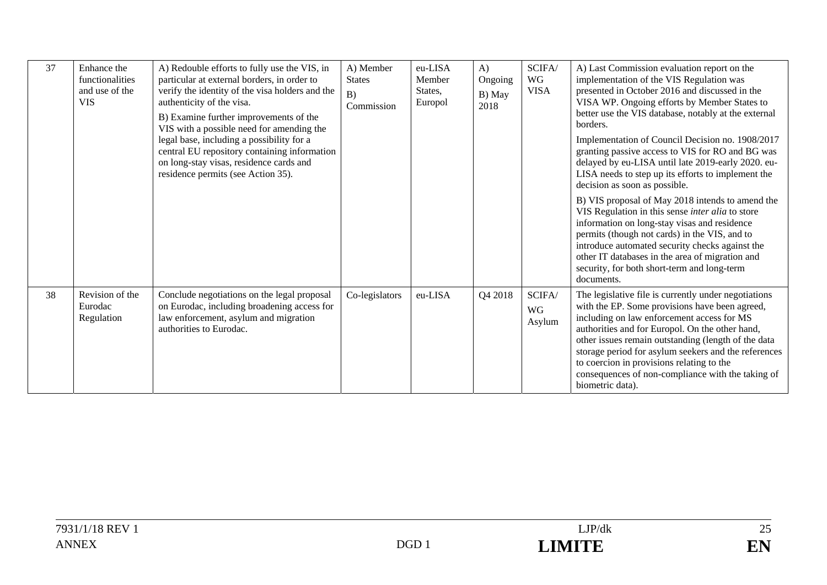| 37 | Enhance the<br>functionalities<br>and use of the<br><b>VIS</b> | A) Redouble efforts to fully use the VIS, in<br>particular at external borders, in order to<br>verify the identity of the visa holders and the<br>authenticity of the visa.<br>B) Examine further improvements of the<br>VIS with a possible need for amending the | A) Member<br><b>States</b><br>B)<br>Commission | eu-LISA<br>Member<br>States,<br>Europol | $\bf{A}$<br>Ongoing<br>B) May<br>2018 | SCIFA/<br>WG<br><b>VISA</b>                                   | A) Last Commission evaluation report on the<br>implementation of the VIS Regulation was<br>presented in October 2016 and discussed in the<br>VISA WP. Ongoing efforts by Member States to<br>better use the VIS database, notably at the external<br>borders.                                                                                                                                                                                |
|----|----------------------------------------------------------------|--------------------------------------------------------------------------------------------------------------------------------------------------------------------------------------------------------------------------------------------------------------------|------------------------------------------------|-----------------------------------------|---------------------------------------|---------------------------------------------------------------|----------------------------------------------------------------------------------------------------------------------------------------------------------------------------------------------------------------------------------------------------------------------------------------------------------------------------------------------------------------------------------------------------------------------------------------------|
|    |                                                                | legal base, including a possibility for a<br>central EU repository containing information<br>on long-stay visas, residence cards and<br>residence permits (see Action 35).                                                                                         |                                                |                                         |                                       |                                                               | Implementation of Council Decision no. 1908/2017<br>granting passive access to VIS for RO and BG was<br>delayed by eu-LISA until late 2019-early 2020. eu-<br>LISA needs to step up its efforts to implement the<br>decision as soon as possible.                                                                                                                                                                                            |
|    |                                                                |                                                                                                                                                                                                                                                                    |                                                |                                         |                                       |                                                               | B) VIS proposal of May 2018 intends to amend the<br>VIS Regulation in this sense inter alia to store<br>information on long-stay visas and residence<br>permits (though not cards) in the VIS, and to<br>introduce automated security checks against the<br>other IT databases in the area of migration and<br>security, for both short-term and long-term<br>documents.                                                                     |
| 38 | Revision of the<br>Eurodac<br>Regulation                       | Conclude negotiations on the legal proposal<br>on Eurodac, including broadening access for<br>law enforcement, asylum and migration<br>authorities to Eurodac.                                                                                                     | Co-legislators                                 | eu-LISA                                 | Q4 2018                               | $\ensuremath{\textup{\textbf{SCIFA}}}\xspace$<br>WG<br>Asylum | The legislative file is currently under negotiations<br>with the EP. Some provisions have been agreed,<br>including on law enforcement access for MS<br>authorities and for Europol. On the other hand,<br>other issues remain outstanding (length of the data<br>storage period for asylum seekers and the references<br>to coercion in provisions relating to the<br>consequences of non-compliance with the taking of<br>biometric data). |

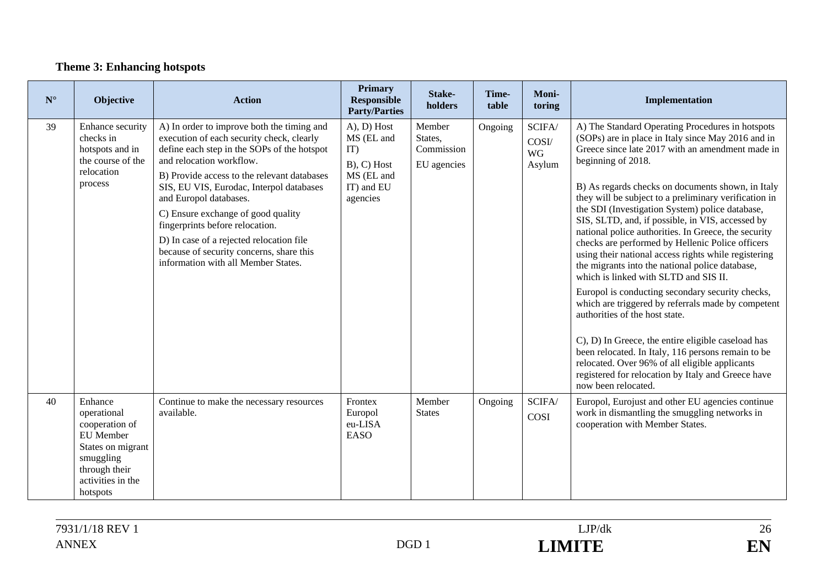### **Theme 3: Enhancing hotspots**

| $\mathbf{N}^\circ$ | Objective                                                                                                                                 | <b>Action</b>                                                                                                                                                                                                                                                                                                                                                                                                                                                                                   | <b>Primary</b><br><b>Responsible</b><br><b>Party/Parties</b>                                        | Stake-<br>holders                              | Time-<br>table | Moni-<br>toring                        | Implementation                                                                                                                                                                                                                                                                                                                                                                                                                                                                                                                                                                                                                                                                                                                                                                                                                                                                                                                                                                                                                                               |
|--------------------|-------------------------------------------------------------------------------------------------------------------------------------------|-------------------------------------------------------------------------------------------------------------------------------------------------------------------------------------------------------------------------------------------------------------------------------------------------------------------------------------------------------------------------------------------------------------------------------------------------------------------------------------------------|-----------------------------------------------------------------------------------------------------|------------------------------------------------|----------------|----------------------------------------|--------------------------------------------------------------------------------------------------------------------------------------------------------------------------------------------------------------------------------------------------------------------------------------------------------------------------------------------------------------------------------------------------------------------------------------------------------------------------------------------------------------------------------------------------------------------------------------------------------------------------------------------------------------------------------------------------------------------------------------------------------------------------------------------------------------------------------------------------------------------------------------------------------------------------------------------------------------------------------------------------------------------------------------------------------------|
| 39                 | Enhance security<br>checks in<br>hotspots and in<br>the course of the<br>relocation<br>process                                            | A) In order to improve both the timing and<br>execution of each security check, clearly<br>define each step in the SOPs of the hotspot<br>and relocation workflow.<br>B) Provide access to the relevant databases<br>SIS, EU VIS, Eurodac, Interpol databases<br>and Europol databases.<br>C) Ensure exchange of good quality<br>fingerprints before relocation.<br>D) In case of a rejected relocation file<br>because of security concerns, share this<br>information with all Member States. | $(A)$ , $D)$ Host<br>MS (EL and<br>IT)<br>$B$ ), $C$ ) Host<br>MS (EL and<br>IT) and EU<br>agencies | Member<br>States,<br>Commission<br>EU agencies | Ongoing        | SCIFA/<br>COSI/<br><b>WG</b><br>Asylum | A) The Standard Operating Procedures in hotspots<br>(SOPs) are in place in Italy since May 2016 and in<br>Greece since late 2017 with an amendment made in<br>beginning of 2018.<br>B) As regards checks on documents shown, in Italy<br>they will be subject to a preliminary verification in<br>the SDI (Investigation System) police database,<br>SIS, SLTD, and, if possible, in VIS, accessed by<br>national police authorities. In Greece, the security<br>checks are performed by Hellenic Police officers<br>using their national access rights while registering<br>the migrants into the national police database,<br>which is linked with SLTD and SIS II.<br>Europol is conducting secondary security checks,<br>which are triggered by referrals made by competent<br>authorities of the host state.<br>C), D) In Greece, the entire eligible caseload has<br>been relocated. In Italy, 116 persons remain to be<br>relocated. Over 96% of all eligible applicants<br>registered for relocation by Italy and Greece have<br>now been relocated. |
| 40                 | Enhance<br>operational<br>cooperation of<br>EU Member<br>States on migrant<br>smuggling<br>through their<br>activities in the<br>hotspots | Continue to make the necessary resources<br>available.                                                                                                                                                                                                                                                                                                                                                                                                                                          | Frontex<br>Europol<br>eu-LISA<br><b>EASO</b>                                                        | Member<br><b>States</b>                        | Ongoing        | SCIFA/<br>COSI                         | Europol, Eurojust and other EU agencies continue<br>work in dismantling the smuggling networks in<br>cooperation with Member States.                                                                                                                                                                                                                                                                                                                                                                                                                                                                                                                                                                                                                                                                                                                                                                                                                                                                                                                         |

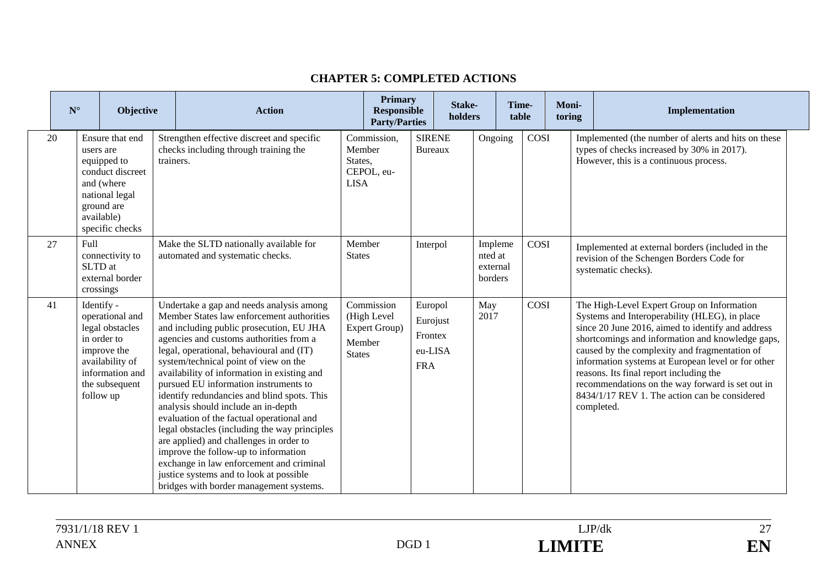|    | $\mathbf{N}^\circ$ | Objective                                                                                                                                           | <b>Action</b>                                                                                                                                                                                                                                                                                                                                                                                                                                                                                                                                                                                                                                                                                                                                                      |                                  | <b>Primary</b><br><b>Responsible</b><br><b>Party/Parties</b> |                                                         | Stake-<br>holders |                                           | Time-<br>table |      | Moni-<br>toring | Implementation                                                                                                                                                                                                                                                                                                                                                                                                                                                            |
|----|--------------------|-----------------------------------------------------------------------------------------------------------------------------------------------------|--------------------------------------------------------------------------------------------------------------------------------------------------------------------------------------------------------------------------------------------------------------------------------------------------------------------------------------------------------------------------------------------------------------------------------------------------------------------------------------------------------------------------------------------------------------------------------------------------------------------------------------------------------------------------------------------------------------------------------------------------------------------|----------------------------------|--------------------------------------------------------------|---------------------------------------------------------|-------------------|-------------------------------------------|----------------|------|-----------------|---------------------------------------------------------------------------------------------------------------------------------------------------------------------------------------------------------------------------------------------------------------------------------------------------------------------------------------------------------------------------------------------------------------------------------------------------------------------------|
| 20 |                    | Ensure that end<br>users are<br>equipped to<br>conduct discreet<br>and (where<br>national legal<br>ground are<br>available)<br>specific checks      | Strengthen effective discreet and specific<br>checks including through training the<br>trainers.                                                                                                                                                                                                                                                                                                                                                                                                                                                                                                                                                                                                                                                                   | Member<br>States,<br><b>LISA</b> | Commission,<br>CEPOL, eu-                                    | <b>SIRENE</b><br><b>Bureaux</b>                         |                   | Ongoing                                   |                | COSI |                 | Implemented (the number of alerts and hits on these<br>types of checks increased by 30% in 2017).<br>However, this is a continuous process.                                                                                                                                                                                                                                                                                                                               |
| 27 |                    | Full<br>connectivity to<br>SLTD at<br>external border<br>crossings                                                                                  | Make the SLTD nationally available for<br>automated and systematic checks.                                                                                                                                                                                                                                                                                                                                                                                                                                                                                                                                                                                                                                                                                         | Member<br><b>States</b>          |                                                              | Interpol                                                |                   | Impleme<br>nted at<br>external<br>borders |                | COSI |                 | Implemented at external borders (included in the<br>revision of the Schengen Borders Code for<br>systematic checks).                                                                                                                                                                                                                                                                                                                                                      |
| 41 |                    | Identify -<br>operational and<br>legal obstacles<br>in order to<br>improve the<br>availability of<br>information and<br>the subsequent<br>follow up | Undertake a gap and needs analysis among<br>Member States law enforcement authorities<br>and including public prosecution, EU JHA<br>agencies and customs authorities from a<br>legal, operational, behavioural and (IT)<br>system/technical point of view on the<br>availability of information in existing and<br>pursued EU information instruments to<br>identify redundancies and blind spots. This<br>analysis should include an in-depth<br>evaluation of the factual operational and<br>legal obstacles (including the way principles<br>are applied) and challenges in order to<br>improve the follow-up to information<br>exchange in law enforcement and criminal<br>justice systems and to look at possible<br>bridges with border management systems. | Member<br><b>States</b>          | Commission<br>(High Level<br>Expert Group)                   | Europol<br>Eurojust<br>Frontex<br>eu-LISA<br><b>FRA</b> |                   | May<br>2017                               |                | COSI |                 | The High-Level Expert Group on Information<br>Systems and Interoperability (HLEG), in place<br>since 20 June 2016, aimed to identify and address<br>shortcomings and information and knowledge gaps,<br>caused by the complexity and fragmentation of<br>information systems at European level or for other<br>reasons. Its final report including the<br>recommendations on the way forward is set out in<br>8434/1/17 REV 1. The action can be considered<br>completed. |

#### **CHAPTER 5: COMPLETED ACTIONS**

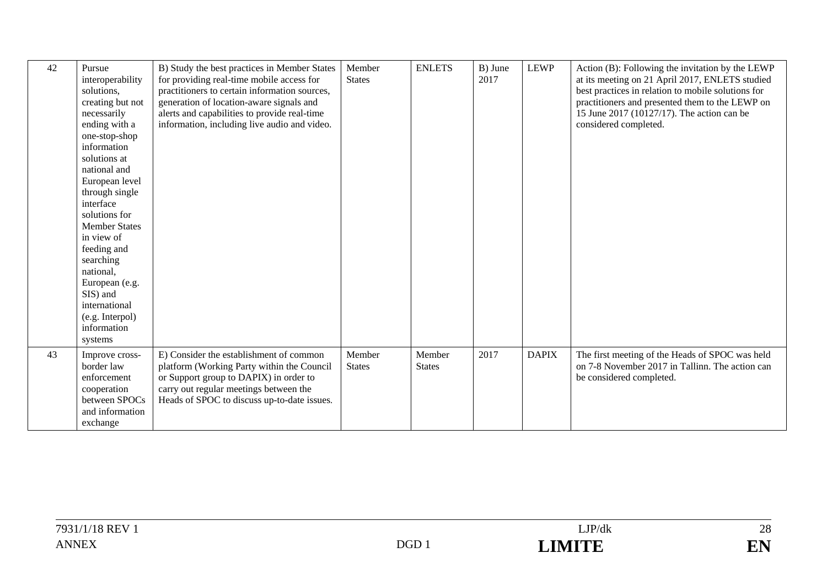| 42 | Pursue<br>interoperability<br>solutions,<br>creating but not<br>necessarily<br>ending with a<br>one-stop-shop<br>information<br>solutions at<br>national and<br>European level<br>through single<br>interface<br>solutions for<br><b>Member States</b><br>in view of<br>feeding and<br>searching<br>national,<br>European (e.g.<br>SIS) and<br>international<br>(e.g. Interpol)<br>information<br>systems | B) Study the best practices in Member States<br>for providing real-time mobile access for<br>practitioners to certain information sources,<br>generation of location-aware signals and<br>alerts and capabilities to provide real-time<br>information, including live audio and video. | Member<br><b>States</b> | <b>ENLETS</b>           | B) June<br>2017 | <b>LEWP</b>  | Action (B): Following the invitation by the LEWP<br>at its meeting on 21 April 2017, ENLETS studied<br>best practices in relation to mobile solutions for<br>practitioners and presented them to the LEWP on<br>15 June 2017 (10127/17). The action can be<br>considered completed. |
|----|-----------------------------------------------------------------------------------------------------------------------------------------------------------------------------------------------------------------------------------------------------------------------------------------------------------------------------------------------------------------------------------------------------------|----------------------------------------------------------------------------------------------------------------------------------------------------------------------------------------------------------------------------------------------------------------------------------------|-------------------------|-------------------------|-----------------|--------------|-------------------------------------------------------------------------------------------------------------------------------------------------------------------------------------------------------------------------------------------------------------------------------------|
| 43 | Improve cross-<br>border law<br>enforcement<br>cooperation<br>between SPOCs<br>and information<br>exchange                                                                                                                                                                                                                                                                                                | E) Consider the establishment of common<br>platform (Working Party within the Council<br>or Support group to DAPIX) in order to<br>carry out regular meetings between the<br>Heads of SPOC to discuss up-to-date issues.                                                               | Member<br><b>States</b> | Member<br><b>States</b> | 2017            | <b>DAPIX</b> | The first meeting of the Heads of SPOC was held<br>on 7-8 November 2017 in Tallinn. The action can<br>be considered completed.                                                                                                                                                      |

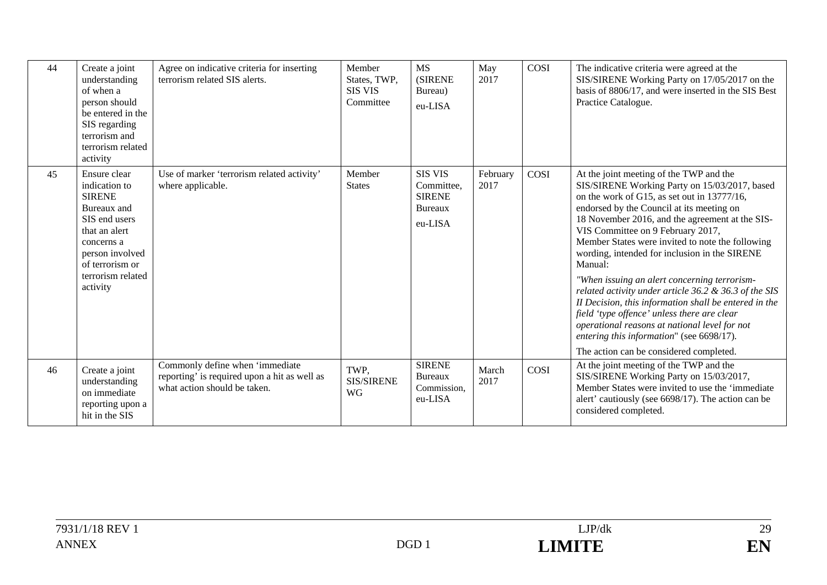| 44 | Create a joint<br>understanding<br>of when a<br>person should<br>be entered in the<br>SIS regarding<br>terrorism and<br>terrorism related<br>activity                                | Agree on indicative criteria for inserting<br>terrorism related SIS alerts.                                     | Member<br>States, TWP,<br><b>SIS VIS</b><br>Committee | <b>MS</b><br><b>(SIRENE</b><br>Bureau)<br>eu-LISA                          | May<br>2017      | COSI        | The indicative criteria were agreed at the<br>SIS/SIRENE Working Party on 17/05/2017 on the<br>basis of 8806/17, and were inserted in the SIS Best<br>Practice Catalogue.                                                                                                                                                                                                                                                                                                                                                                                                                                                                                                                                                                              |
|----|--------------------------------------------------------------------------------------------------------------------------------------------------------------------------------------|-----------------------------------------------------------------------------------------------------------------|-------------------------------------------------------|----------------------------------------------------------------------------|------------------|-------------|--------------------------------------------------------------------------------------------------------------------------------------------------------------------------------------------------------------------------------------------------------------------------------------------------------------------------------------------------------------------------------------------------------------------------------------------------------------------------------------------------------------------------------------------------------------------------------------------------------------------------------------------------------------------------------------------------------------------------------------------------------|
| 45 | Ensure clear<br>indication to<br><b>SIRENE</b><br>Bureaux and<br>SIS end users<br>that an alert<br>concerns a<br>person involved<br>of terrorism or<br>terrorism related<br>activity | Use of marker 'terrorism related activity'<br>where applicable.                                                 | Member<br><b>States</b>                               | <b>SIS VIS</b><br>Committee,<br><b>SIRENE</b><br><b>Bureaux</b><br>eu-LISA | February<br>2017 | COSI        | At the joint meeting of the TWP and the<br>SIS/SIRENE Working Party on 15/03/2017, based<br>on the work of G15, as set out in 13777/16,<br>endorsed by the Council at its meeting on<br>18 November 2016, and the agreement at the SIS-<br>VIS Committee on 9 February 2017,<br>Member States were invited to note the following<br>wording, intended for inclusion in the SIRENE<br>Manual:<br>"When issuing an alert concerning terrorism-<br>related activity under article 36.2 & 36.3 of the SIS<br>II Decision, this information shall be entered in the<br>field 'type offence' unless there are clear<br>operational reasons at national level for not<br>entering this information" (see 6698/17).<br>The action can be considered completed. |
| 46 | Create a joint<br>understanding<br>on immediate<br>reporting upon a<br>hit in the SIS                                                                                                | Commonly define when 'immediate<br>reporting' is required upon a hit as well as<br>what action should be taken. | TWP.<br><b>SIS/SIRENE</b><br><b>WG</b>                | <b>SIRENE</b><br><b>Bureaux</b><br>Commission,<br>eu-LISA                  | March<br>2017    | <b>COSI</b> | At the joint meeting of the TWP and the<br>SIS/SIRENE Working Party on 15/03/2017,<br>Member States were invited to use the 'immediate<br>alert' cautiously (see 6698/17). The action can be<br>considered completed.                                                                                                                                                                                                                                                                                                                                                                                                                                                                                                                                  |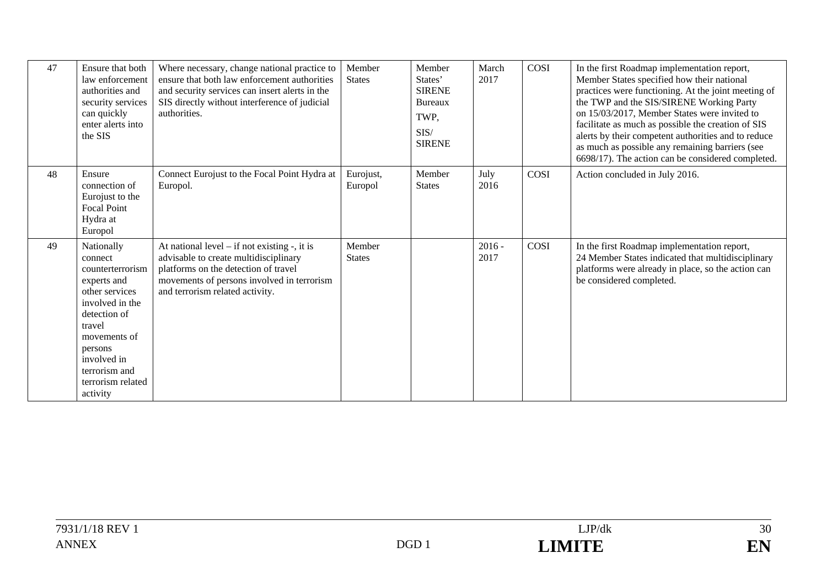| 47 | Ensure that both<br>law enforcement<br>authorities and<br>security services<br>can quickly<br>enter alerts into<br>the SIS                                                                                          | Where necessary, change national practice to<br>ensure that both law enforcement authorities<br>and security services can insert alerts in the<br>SIS directly without interference of judicial<br>authorities.     | Member<br><b>States</b> | Member<br>States'<br><b>SIRENE</b><br>Bureaux<br>TWP,<br>SIS/<br><b>SIRENE</b> | March<br>2017    | COSI | In the first Roadmap implementation report,<br>Member States specified how their national<br>practices were functioning. At the joint meeting of<br>the TWP and the SIS/SIRENE Working Party<br>on 15/03/2017, Member States were invited to<br>facilitate as much as possible the creation of SIS<br>alerts by their competent authorities and to reduce<br>as much as possible any remaining barriers (see<br>6698/17). The action can be considered completed. |
|----|---------------------------------------------------------------------------------------------------------------------------------------------------------------------------------------------------------------------|---------------------------------------------------------------------------------------------------------------------------------------------------------------------------------------------------------------------|-------------------------|--------------------------------------------------------------------------------|------------------|------|-------------------------------------------------------------------------------------------------------------------------------------------------------------------------------------------------------------------------------------------------------------------------------------------------------------------------------------------------------------------------------------------------------------------------------------------------------------------|
| 48 | Ensure<br>connection of<br>Eurojust to the<br><b>Focal Point</b><br>Hydra at<br>Europol                                                                                                                             | Connect Eurojust to the Focal Point Hydra at<br>Europol.                                                                                                                                                            | Eurojust,<br>Europol    | Member<br><b>States</b>                                                        | July<br>2016     | COSI | Action concluded in July 2016.                                                                                                                                                                                                                                                                                                                                                                                                                                    |
| 49 | Nationally<br>connect<br>counterterrorism<br>experts and<br>other services<br>involved in the<br>detection of<br>travel<br>movements of<br>persons<br>involved in<br>terrorism and<br>terrorism related<br>activity | At national level $-$ if not existing $-$ , it is<br>advisable to create multidisciplinary<br>platforms on the detection of travel<br>movements of persons involved in terrorism<br>and terrorism related activity. | Member<br><b>States</b> |                                                                                | $2016 -$<br>2017 | COSI | In the first Roadmap implementation report,<br>24 Member States indicated that multidisciplinary<br>platforms were already in place, so the action can<br>be considered completed.                                                                                                                                                                                                                                                                                |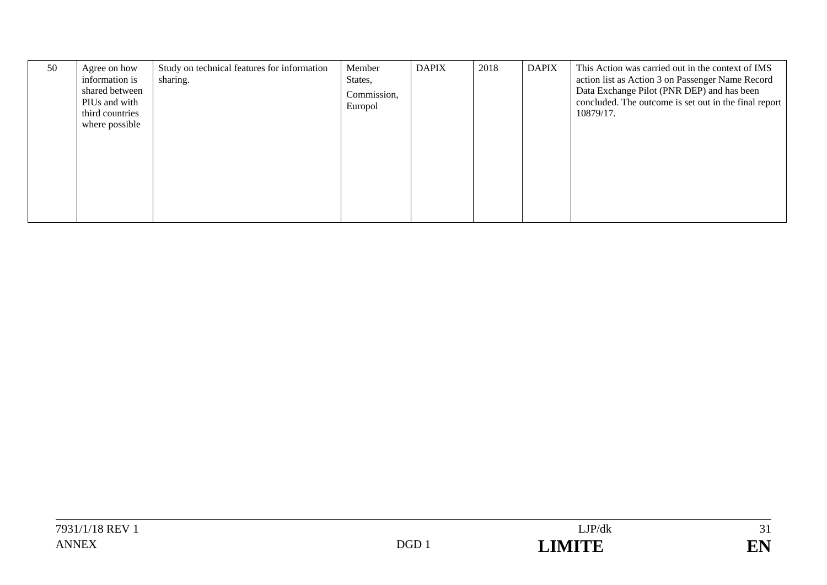| 50 | Agree on how<br>information is<br>shared between<br>PIUs and with<br>third countries<br>where possible | Study on technical features for information<br>sharing. | Member<br>States,<br>Commission,<br>Europol | <b>DAPIX</b> | 2018 | <b>DAPIX</b> | This Action was carried out in the context of IMS<br>action list as Action 3 on Passenger Name Record<br>Data Exchange Pilot (PNR DEP) and has been<br>concluded. The outcome is set out in the final report  <br>10879/17. |
|----|--------------------------------------------------------------------------------------------------------|---------------------------------------------------------|---------------------------------------------|--------------|------|--------------|-----------------------------------------------------------------------------------------------------------------------------------------------------------------------------------------------------------------------------|
|----|--------------------------------------------------------------------------------------------------------|---------------------------------------------------------|---------------------------------------------|--------------|------|--------------|-----------------------------------------------------------------------------------------------------------------------------------------------------------------------------------------------------------------------------|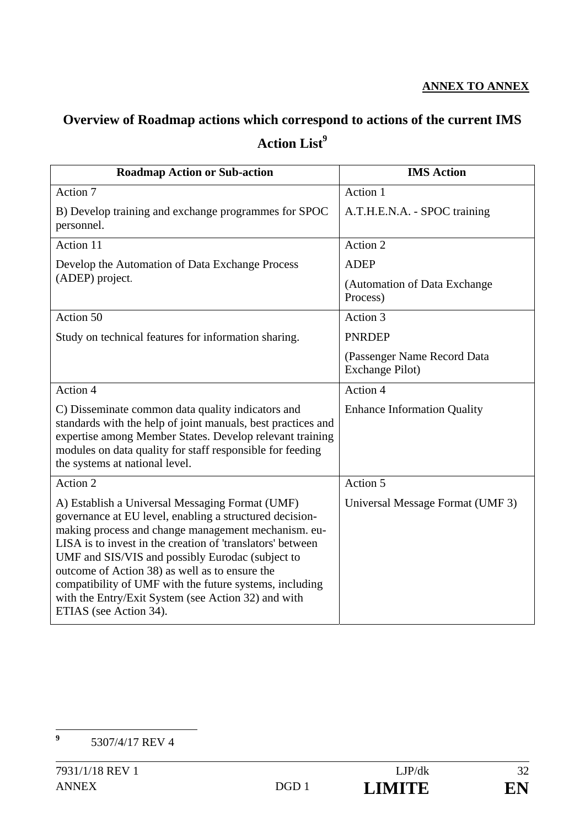### **ANNEX TO ANNEX**

# **Overview of Roadmap actions which correspond to actions of the current IMS**  Action List<sup>9</sup>

| <b>Roadmap Action or Sub-action</b>                                                                                                                                                                                                                                                                                                                                                                                                                                               | <b>IMS</b> Action                              |
|-----------------------------------------------------------------------------------------------------------------------------------------------------------------------------------------------------------------------------------------------------------------------------------------------------------------------------------------------------------------------------------------------------------------------------------------------------------------------------------|------------------------------------------------|
| Action 7                                                                                                                                                                                                                                                                                                                                                                                                                                                                          | Action 1                                       |
| B) Develop training and exchange programmes for SPOC<br>personnel.                                                                                                                                                                                                                                                                                                                                                                                                                | A.T.H.E.N.A. - SPOC training                   |
| Action 11                                                                                                                                                                                                                                                                                                                                                                                                                                                                         | Action 2                                       |
| Develop the Automation of Data Exchange Process                                                                                                                                                                                                                                                                                                                                                                                                                                   | <b>ADEP</b>                                    |
| (ADEP) project.                                                                                                                                                                                                                                                                                                                                                                                                                                                                   | (Automation of Data Exchange<br>Process)       |
| Action 50                                                                                                                                                                                                                                                                                                                                                                                                                                                                         | Action 3                                       |
| Study on technical features for information sharing.                                                                                                                                                                                                                                                                                                                                                                                                                              | <b>PNRDEP</b>                                  |
|                                                                                                                                                                                                                                                                                                                                                                                                                                                                                   | (Passenger Name Record Data<br>Exchange Pilot) |
| Action 4                                                                                                                                                                                                                                                                                                                                                                                                                                                                          | Action 4                                       |
| C) Disseminate common data quality indicators and<br>standards with the help of joint manuals, best practices and<br>expertise among Member States. Develop relevant training<br>modules on data quality for staff responsible for feeding<br>the systems at national level.                                                                                                                                                                                                      | <b>Enhance Information Quality</b>             |
| Action 2                                                                                                                                                                                                                                                                                                                                                                                                                                                                          | Action 5                                       |
| A) Establish a Universal Messaging Format (UMF)<br>governance at EU level, enabling a structured decision-<br>making process and change management mechanism. eu-<br>LISA is to invest in the creation of 'translators' between<br>UMF and SIS/VIS and possibly Eurodac (subject to<br>outcome of Action 38) as well as to ensure the<br>compatibility of UMF with the future systems, including<br>with the Entry/Exit System (see Action 32) and with<br>ETIAS (see Action 34). | Universal Message Format (UMF 3)               |

 **9** 5307/4/17 REV 4